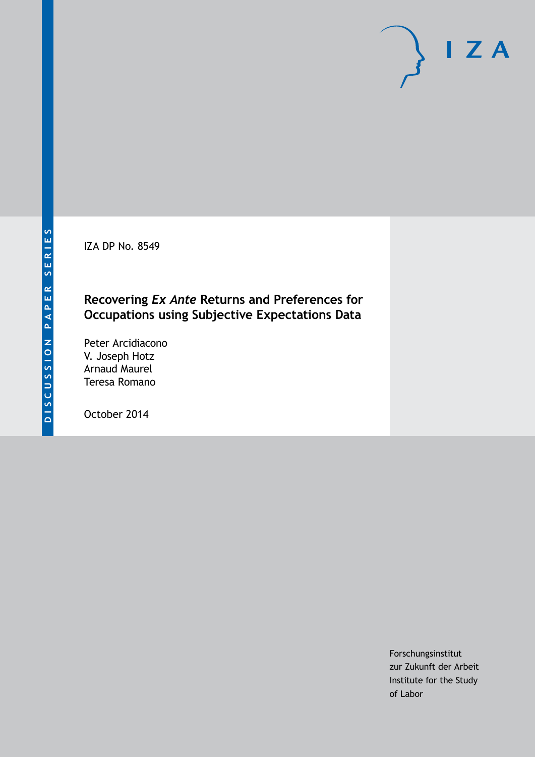IZA DP No. 8549

## **Recovering** *Ex Ante* **Returns and Preferences for Occupations using Subjective Expectations Data**

Peter Arcidiacono V. Joseph Hotz Arnaud Maurel Teresa Romano

October 2014

Forschungsinstitut zur Zukunft der Arbeit Institute for the Study of Labor

 $I Z A$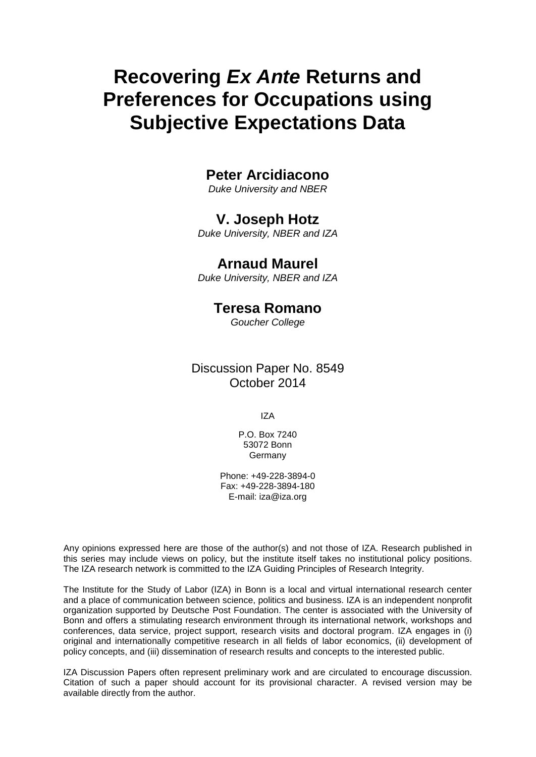# **Recovering** *Ex Ante* **Returns and Preferences for Occupations using Subjective Expectations Data**

## **Peter Arcidiacono**

*Duke University and NBER*

### **V. Joseph Hotz**

*Duke University, NBER and IZA*

## **Arnaud Maurel**

*Duke University, NBER and IZA*

## **Teresa Romano**

*Goucher College*

Discussion Paper No. 8549 October 2014

IZA

P.O. Box 7240 53072 Bonn **Germany** 

Phone: +49-228-3894-0 Fax: +49-228-3894-180 E-mail: [iza@iza.org](mailto:iza@iza.org)

Any opinions expressed here are those of the author(s) and not those of IZA. Research published in this series may include views on policy, but the institute itself takes no institutional policy positions. The IZA research network is committed to the IZA Guiding Principles of Research Integrity.

The Institute for the Study of Labor (IZA) in Bonn is a local and virtual international research center and a place of communication between science, politics and business. IZA is an independent nonprofit organization supported by Deutsche Post Foundation. The center is associated with the University of Bonn and offers a stimulating research environment through its international network, workshops and conferences, data service, project support, research visits and doctoral program. IZA engages in (i) original and internationally competitive research in all fields of labor economics, (ii) development of policy concepts, and (iii) dissemination of research results and concepts to the interested public.

<span id="page-1-0"></span>IZA Discussion Papers often represent preliminary work and are circulated to encourage discussion. Citation of such a paper should account for its provisional character. A revised version may be available directly from the author.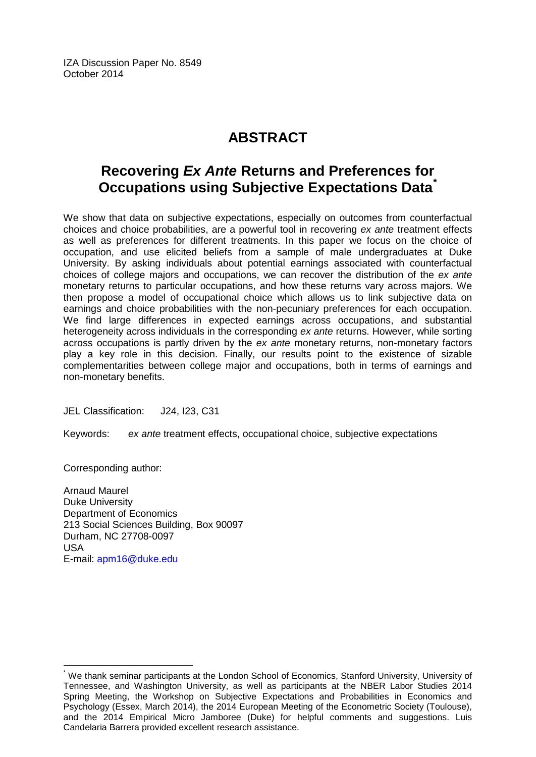IZA Discussion Paper No. 8549 October 2014

## **ABSTRACT**

## **Recovering** *Ex Ante* **Returns and Preferences for Occupations using Subjective Expectations Data[\\*](#page-1-0)**

We show that data on subjective expectations, especially on outcomes from counterfactual choices and choice probabilities, are a powerful tool in recovering *ex ante* treatment effects as well as preferences for different treatments. In this paper we focus on the choice of occupation, and use elicited beliefs from a sample of male undergraduates at Duke University. By asking individuals about potential earnings associated with counterfactual choices of college majors and occupations, we can recover the distribution of the *ex ante* monetary returns to particular occupations, and how these returns vary across majors. We then propose a model of occupational choice which allows us to link subjective data on earnings and choice probabilities with the non-pecuniary preferences for each occupation. We find large differences in expected earnings across occupations, and substantial heterogeneity across individuals in the corresponding *ex ante* returns. However, while sorting across occupations is partly driven by the *ex ante* monetary returns, non-monetary factors play a key role in this decision. Finally, our results point to the existence of sizable complementarities between college major and occupations, both in terms of earnings and non-monetary benefits.

JEL Classification: J24, I23, C31

Keywords: *ex ante* treatment effects, occupational choice, subjective expectations

Corresponding author:

Arnaud Maurel Duke University Department of Economics 213 Social Sciences Building, Box 90097 Durham, NC 27708-0097 USA E-mail: [apm16@duke.edu](mailto:apm16@duke.edu)

\* We thank seminar participants at the London School of Economics, Stanford University, University of Tennessee, and Washington University, as well as participants at the NBER Labor Studies 2014 Spring Meeting, the Workshop on Subjective Expectations and Probabilities in Economics and Psychology (Essex, March 2014), the 2014 European Meeting of the Econometric Society (Toulouse), and the 2014 Empirical Micro Jamboree (Duke) for helpful comments and suggestions. Luis Candelaria Barrera provided excellent research assistance.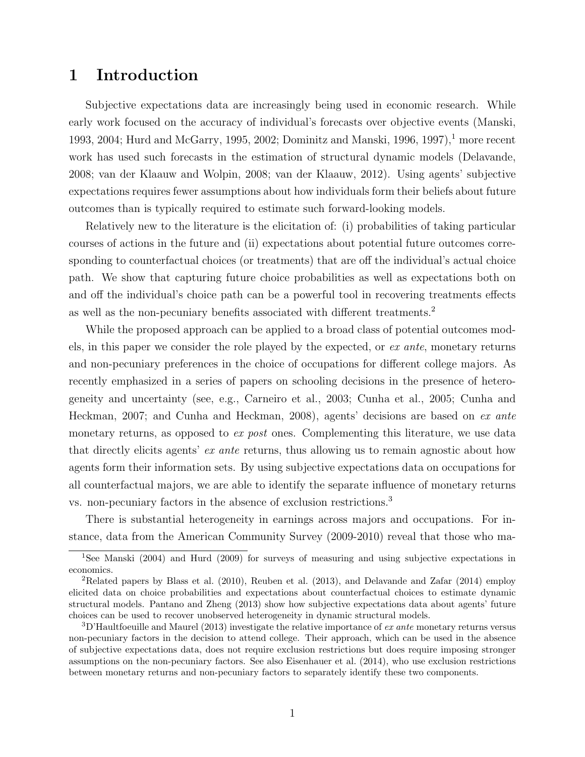## 1 Introduction

Subjective expectations data are increasingly being used in economic research. While early work focused on the accuracy of individual's forecasts over objective events [\(Manski,](#page-40-0) [1993,](#page-40-0) [2004;](#page-40-1) [Hurd and McGarry, 1995,](#page-39-0) [2002;](#page-39-1) [Dominitz and Manski, 1996,](#page-39-2) [1997\)](#page-39-3),<sup>[1](#page-3-0)</sup> more recent work has used such forecasts in the estimation of structural dynamic models [\(Delavande,](#page-39-4) [2008;](#page-39-4) [van der Klaauw and Wolpin, 2008;](#page-41-0) [van der Klaauw, 2012\)](#page-40-2). Using agents' subjective expectations requires fewer assumptions about how individuals form their beliefs about future outcomes than is typically required to estimate such forward-looking models.

Relatively new to the literature is the elicitation of: (i) probabilities of taking particular courses of actions in the future and (ii) expectations about potential future outcomes corresponding to counterfactual choices (or treatments) that are off the individual's actual choice path. We show that capturing future choice probabilities as well as expectations both on and off the individual's choice path can be a powerful tool in recovering treatments effects as well as the non-pecuniary benefits associated with different treatments.[2](#page-3-1)

While the proposed approach can be applied to a broad class of potential outcomes models, in this paper we consider the role played by the expected, or ex ante, monetary returns and non-pecuniary preferences in the choice of occupations for different college majors. As recently emphasized in a series of papers on schooling decisions in the presence of heterogeneity and uncertainty (see, e.g., [Carneiro et al., 2003;](#page-38-0) [Cunha et al., 2005;](#page-38-1) [Cunha and](#page-38-2) [Heckman, 2007;](#page-38-2) and [Cunha and Heckman, 2008\)](#page-38-3), agents' decisions are based on ex ante monetary returns, as opposed to ex post ones. Complementing this literature, we use data that directly elicits agents' ex ante returns, thus allowing us to remain agnostic about how agents form their information sets. By using subjective expectations data on occupations for all counterfactual majors, we are able to identify the separate influence of monetary returns vs. non-pecuniary factors in the absence of exclusion restrictions.[3](#page-3-2)

There is substantial heterogeneity in earnings across majors and occupations. For instance, data from the American Community Survey (2009-2010) reveal that those who ma-

<span id="page-3-0"></span><sup>1</sup>See [Manski](#page-40-1) [\(2004\)](#page-40-1) and [Hurd](#page-39-5) [\(2009\)](#page-39-5) for surveys of measuring and using subjective expectations in economics.

<span id="page-3-1"></span><sup>2</sup>Related papers by [Blass et al.](#page-38-4) [\(2010\)](#page-38-4), [Reuben et al.](#page-40-3) [\(2013\)](#page-40-3), and [Delavande and Zafar](#page-39-6) [\(2014\)](#page-39-6) employ elicited data on choice probabilities and expectations about counterfactual choices to estimate dynamic structural models. [Pantano and Zheng](#page-40-4) [\(2013\)](#page-40-4) show how subjective expectations data about agents' future choices can be used to recover unobserved heterogeneity in dynamic structural models.

<span id="page-3-2"></span> $3D'$ Haultfoeuille and Maurel [\(2013\)](#page-39-7) investigate the relative importance of ex ante monetary returns versus non-pecuniary factors in the decision to attend college. Their approach, which can be used in the absence of subjective expectations data, does not require exclusion restrictions but does require imposing stronger assumptions on the non-pecuniary factors. See also [Eisenhauer et al.](#page-39-8) [\(2014\)](#page-39-8), who use exclusion restrictions between monetary returns and non-pecuniary factors to separately identify these two components.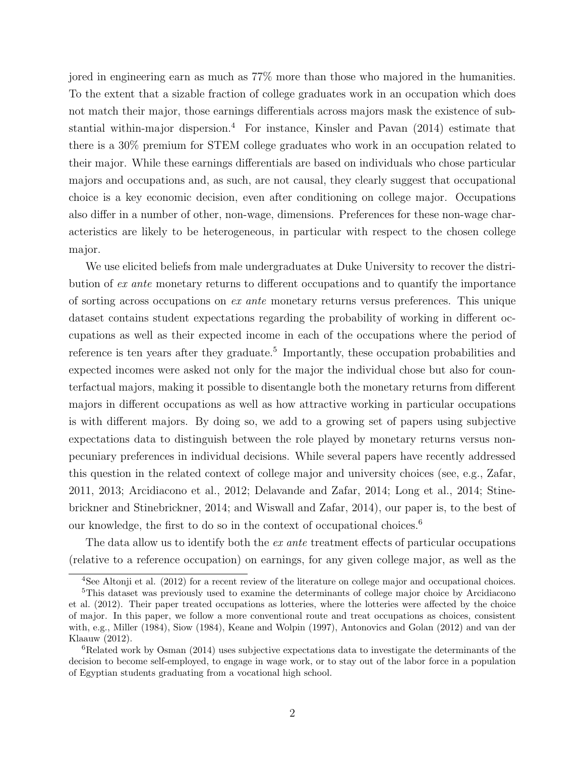jored in engineering earn as much as 77% more than those who majored in the humanities. To the extent that a sizable fraction of college graduates work in an occupation which does not match their major, those earnings differentials across majors mask the existence of substantial within-major dispersion.[4](#page-4-0) For instance, [Kinsler and Pavan \(2014\)](#page-39-9) estimate that there is a 30% premium for STEM college graduates who work in an occupation related to their major. While these earnings differentials are based on individuals who chose particular majors and occupations and, as such, are not causal, they clearly suggest that occupational choice is a key economic decision, even after conditioning on college major. Occupations also differ in a number of other, non-wage, dimensions. Preferences for these non-wage characteristics are likely to be heterogeneous, in particular with respect to the chosen college major.

We use elicited beliefs from male undergraduates at Duke University to recover the distribution of ex ante monetary returns to different occupations and to quantify the importance of sorting across occupations on ex ante monetary returns versus preferences. This unique dataset contains student expectations regarding the probability of working in different occupations as well as their expected income in each of the occupations where the period of reference is ten years after they graduate.<sup>[5](#page-4-1)</sup> Importantly, these occupation probabilities and expected incomes were asked not only for the major the individual chose but also for counterfactual majors, making it possible to disentangle both the monetary returns from different majors in different occupations as well as how attractive working in particular occupations is with different majors. By doing so, we add to a growing set of papers using subjective expectations data to distinguish between the role played by monetary returns versus nonpecuniary preferences in individual decisions. While several papers have recently addressed this question in the related context of college major and university choices (see, e.g., [Zafar,](#page-41-1) [2011,](#page-41-1) [2013;](#page-41-2) [Arcidiacono et al., 2012;](#page-38-5) [Delavande and Zafar, 2014;](#page-39-6) [Long et al., 2014;](#page-40-5) [Stine](#page-40-6)[brickner and Stinebrickner, 2014;](#page-40-6) and [Wiswall and Zafar, 2014\)](#page-41-3), our paper is, to the best of our knowledge, the first to do so in the context of occupational choices.<sup>[6](#page-4-2)</sup>

The data allow us to identify both the *ex ante* treatment effects of particular occupations (relative to a reference occupation) on earnings, for any given college major, as well as the

<span id="page-4-1"></span><span id="page-4-0"></span><sup>&</sup>lt;sup>4</sup>See [Altonji et al.](#page-38-6) [\(2012\)](#page-38-6) for a recent review of the literature on college major and occupational choices.

<sup>5</sup>This dataset was previously used to examine the determinants of college major choice by [Arcidiacono](#page-38-5) [et al.](#page-38-5) [\(2012\)](#page-38-5). Their paper treated occupations as lotteries, where the lotteries were affected by the choice of major. In this paper, we follow a more conventional route and treat occupations as choices, consistent with, e.g., [Miller](#page-40-7) [\(1984\)](#page-40-7), [Siow](#page-40-8) [\(1984\)](#page-40-8), [Keane and Wolpin](#page-39-10) [\(1997\)](#page-39-10), [Antonovics and Golan](#page-38-7) [\(2012\)](#page-38-7) and [van der](#page-40-2) [Klaauw](#page-40-2) [\(2012\)](#page-40-2).

<span id="page-4-2"></span><sup>6</sup>Related work by [Osman](#page-40-9) [\(2014\)](#page-40-9) uses subjective expectations data to investigate the determinants of the decision to become self-employed, to engage in wage work, or to stay out of the labor force in a population of Egyptian students graduating from a vocational high school.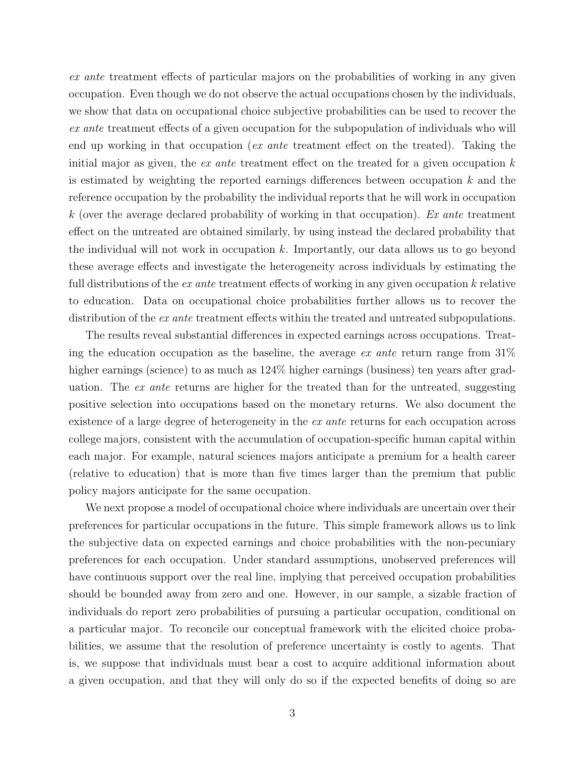ex ante treatment effects of particular majors on the probabilities of working in any given occupation. Even though we do not observe the actual occupations chosen by the individuals, we show that data on occupational choice subjective probabilities can be used to recover the ex ante treatment effects of a given occupation for the subpopulation of individuals who will end up working in that occupation (*ex ante* treatment effect on the treated). Taking the initial major as given, the ex ante treatment effect on the treated for a given occupation  $k$ is estimated by weighting the reported earnings differences between occupation  $k$  and the reference occupation by the probability the individual reports that he will work in occupation  $k$  (over the average declared probability of working in that occupation). Ex ante treatment effect on the untreated are obtained similarly, by using instead the declared probability that the individual will not work in occupation  $k$ . Importantly, our data allows us to go beyond these average effects and investigate the heterogeneity across individuals by estimating the full distributions of the  $ex$  ante treatment effects of working in any given occupation  $k$  relative to education. Data on occupational choice probabilities further allows us to recover the distribution of the *ex ante* treatment effects within the treated and untreated subpopulations.

The results reveal substantial differences in expected earnings across occupations. Treating the education occupation as the baseline, the average ex ante return range from  $31\%$ higher earnings (science) to as much as  $124\%$  higher earnings (business) ten years after graduation. The *ex ante* returns are higher for the treated than for the untreated, suggesting positive selection into occupations based on the monetary returns. We also document the existence of a large degree of heterogeneity in the ex ante returns for each occupation across college majors, consistent with the accumulation of occupation-specific human capital within each major. For example, natural sciences majors anticipate a premium for a health career (relative to education) that is more than five times larger than the premium that public policy majors anticipate for the same occupation.

We next propose a model of occupational choice where individuals are uncertain over their preferences for particular occupations in the future. This simple framework allows us to link the subjective data on expected earnings and choice probabilities with the non-pecuniary preferences for each occupation. Under standard assumptions, unobserved preferences will have continuous support over the real line, implying that perceived occupation probabilities should be bounded away from zero and one. However, in our sample, a sizable fraction of individuals do report zero probabilities of pursuing a particular occupation, conditional on a particular major. To reconcile our conceptual framework with the elicited choice probabilities, we assume that the resolution of preference uncertainty is costly to agents. That is, we suppose that individuals must bear a cost to acquire additional information about a given occupation, and that they will only do so if the expected benefits of doing so are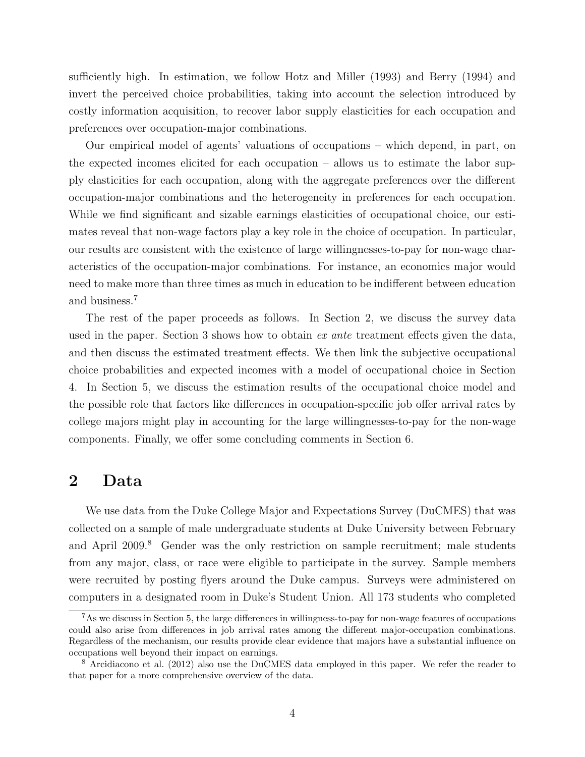sufficiently high. In estimation, we follow [Hotz and Miller \(1993\)](#page-39-11) and [Berry \(1994\)](#page-38-8) and invert the perceived choice probabilities, taking into account the selection introduced by costly information acquisition, to recover labor supply elasticities for each occupation and preferences over occupation-major combinations.

Our empirical model of agents' valuations of occupations – which depend, in part, on the expected incomes elicited for each occupation – allows us to estimate the labor supply elasticities for each occupation, along with the aggregate preferences over the different occupation-major combinations and the heterogeneity in preferences for each occupation. While we find significant and sizable earnings elasticities of occupational choice, our estimates reveal that non-wage factors play a key role in the choice of occupation. In particular, our results are consistent with the existence of large willingnesses-to-pay for non-wage characteristics of the occupation-major combinations. For instance, an economics major would need to make more than three times as much in education to be indifferent between education and business.[7](#page-6-0)

The rest of the paper proceeds as follows. In Section [2,](#page-6-1) we discuss the survey data used in the paper. Section [3](#page-13-0) shows how to obtain  $ex$  ante treatment effects given the data, and then discuss the estimated treatment effects. We then link the subjective occupational choice probabilities and expected incomes with a model of occupational choice in Section [4.](#page-21-0) In Section [5,](#page-29-0) we discuss the estimation results of the occupational choice model and the possible role that factors like differences in occupation-specific job offer arrival rates by college majors might play in accounting for the large willingnesses-to-pay for the non-wage components. Finally, we offer some concluding comments in Section [6.](#page-36-0)

### <span id="page-6-1"></span>2 Data

We use data from the Duke College Major and Expectations Survey (DuCMES) that was collected on a sample of male undergraduate students at Duke University between February and April 2009.<sup>[8](#page-6-2)</sup> Gender was the only restriction on sample recruitment; male students from any major, class, or race were eligible to participate in the survey. Sample members were recruited by posting flyers around the Duke campus. Surveys were administered on computers in a designated room in Duke's Student Union. All 173 students who completed

<span id="page-6-0"></span><sup>7</sup>As we discuss in Section [5,](#page-29-0) the large differences in willingness-to-pay for non-wage features of occupations could also arise from differences in job arrival rates among the different major-occupation combinations. Regardless of the mechanism, our results provide clear evidence that majors have a substantial influence on occupations well beyond their impact on earnings.

<span id="page-6-2"></span><sup>8</sup> [Arcidiacono et al.](#page-38-5) [\(2012\)](#page-38-5) also use the DuCMES data employed in this paper. We refer the reader to that paper for a more comprehensive overview of the data.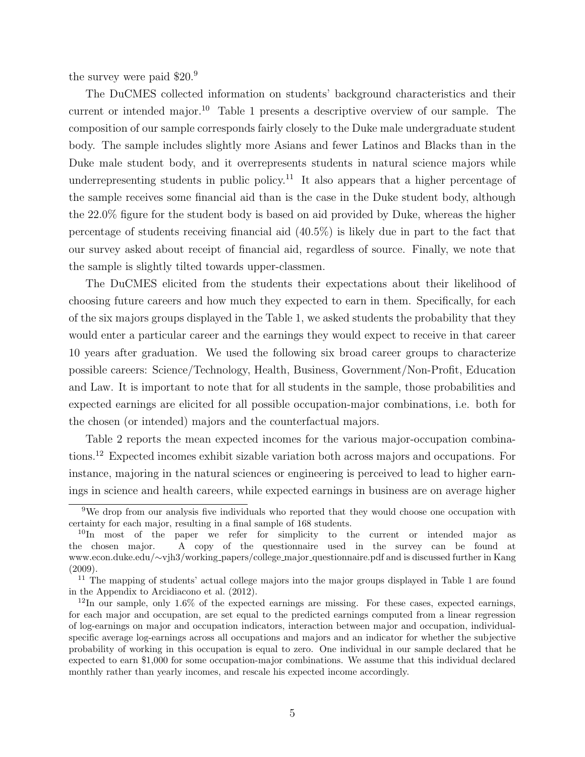the survey were paid \$20.<sup>[9](#page-7-0)</sup>

The DuCMES collected information on students' background characteristics and their current or intended major.[10](#page-7-1) Table [1](#page-8-0) presents a descriptive overview of our sample. The composition of our sample corresponds fairly closely to the Duke male undergraduate student body. The sample includes slightly more Asians and fewer Latinos and Blacks than in the Duke male student body, and it overrepresents students in natural science majors while underrepresenting students in public policy.<sup>[11](#page-7-2)</sup> It also appears that a higher percentage of the sample receives some financial aid than is the case in the Duke student body, although the 22.0% figure for the student body is based on aid provided by Duke, whereas the higher percentage of students receiving financial aid (40.5%) is likely due in part to the fact that our survey asked about receipt of financial aid, regardless of source. Finally, we note that the sample is slightly tilted towards upper-classmen.

The DuCMES elicited from the students their expectations about their likelihood of choosing future careers and how much they expected to earn in them. Specifically, for each of the six majors groups displayed in the Table [1,](#page-8-0) we asked students the probability that they would enter a particular career and the earnings they would expect to receive in that career 10 years after graduation. We used the following six broad career groups to characterize possible careers: Science/Technology, Health, Business, Government/Non-Profit, Education and Law. It is important to note that for all students in the sample, those probabilities and expected earnings are elicited for all possible occupation-major combinations, i.e. both for the chosen (or intended) majors and the counterfactual majors.

Table [2](#page-9-0) reports the mean expected incomes for the various major-occupation combinations.[12](#page-7-3) Expected incomes exhibit sizable variation both across majors and occupations. For instance, majoring in the natural sciences or engineering is perceived to lead to higher earnings in science and health careers, while expected earnings in business are on average higher

<span id="page-7-0"></span><sup>9</sup>We drop from our analysis five individuals who reported that they would choose one occupation with certainty for each major, resulting in a final sample of 168 students.

<span id="page-7-1"></span> $10$ In most of the paper we refer for simplicity to the current or intended major as the chosen major. A copy of the questionnaire used in the survey can be found at [www.econ.duke.edu/](http://www.econ.duke.edu/~vjh3/working_papers/college_major_questionnaire.pdf)∼vjh3/working papers/college major questionnaire.pdf and is discussed further in [Kang](#page-39-12) [\(2009\)](#page-39-12).

<span id="page-7-2"></span><sup>&</sup>lt;sup>11</sup> The mapping of students' actual college majors into the major groups displayed in Table [1](#page-8-0) are found in the Appendix to [Arcidiacono et al.](#page-38-5) [\(2012\)](#page-38-5).

<span id="page-7-3"></span> $12$ In our sample, only 1.6% of the expected earnings are missing. For these cases, expected earnings, for each major and occupation, are set equal to the predicted earnings computed from a linear regression of log-earnings on major and occupation indicators, interaction between major and occupation, individualspecific average log-earnings across all occupations and majors and an indicator for whether the subjective probability of working in this occupation is equal to zero. One individual in our sample declared that he expected to earn \$1,000 for some occupation-major combinations. We assume that this individual declared monthly rather than yearly incomes, and rescale his expected income accordingly.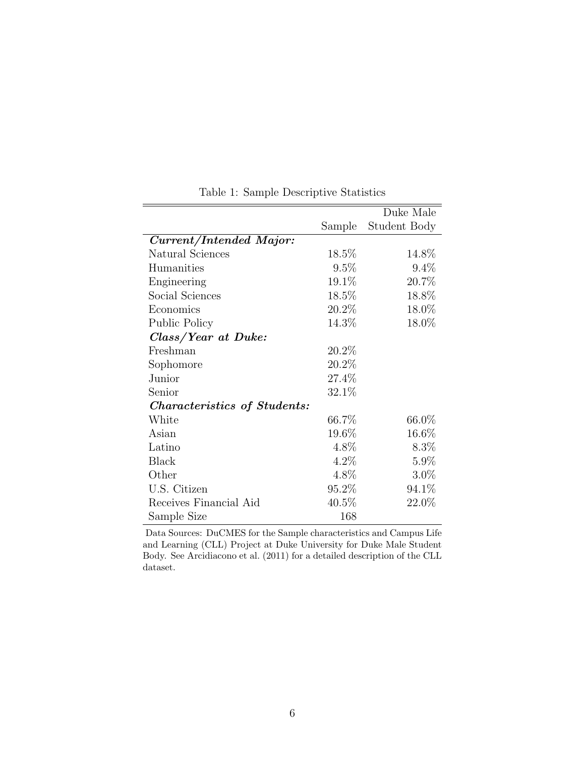|                                     |          | Duke Male    |
|-------------------------------------|----------|--------------|
|                                     | Sample   | Student Body |
| Current/Intended Major:             |          |              |
| Natural Sciences                    | $18.5\%$ | 14.8%        |
| Humanities                          | 9.5%     | 9.4%         |
| Engineering                         | 19.1%    | 20.7%        |
| Social Sciences                     | 18.5%    | 18.8%        |
| Economics                           | 20.2%    | 18.0%        |
| Public Policy                       | 14.3%    | 18.0%        |
| Class/Year at Duke:                 |          |              |
| Freshman                            | 20.2%    |              |
| Sophomore                           | 20.2%    |              |
| Junior                              | 27.4%    |              |
| Senior                              | 32.1%    |              |
| <i>Characteristics of Students:</i> |          |              |
| White                               | 66.7%    | 66.0%        |
| Asian                               | 19.6%    | $16.6\%$     |
| Latino                              | 4.8%     | $8.3\%$      |
| <b>Black</b>                        | $4.2\%$  | $5.9\%$      |
| Other                               | 4.8%     | $3.0\%$      |
| U.S. Citizen                        | 95.2%    | 94.1%        |
| Receives Financial Aid              | $40.5\%$ | 22.0%        |
| Sample Size                         | 168      |              |
|                                     |          |              |

<span id="page-8-0"></span>Table 1: Sample Descriptive Statistics

Data Sources: DuCMES for the Sample characteristics and Campus Life and Learning (CLL) Project at Duke University for Duke Male Student Body. See [Arcidiacono et al.](#page-38-9) [\(2011\)](#page-38-9) for a detailed description of the CLL dataset.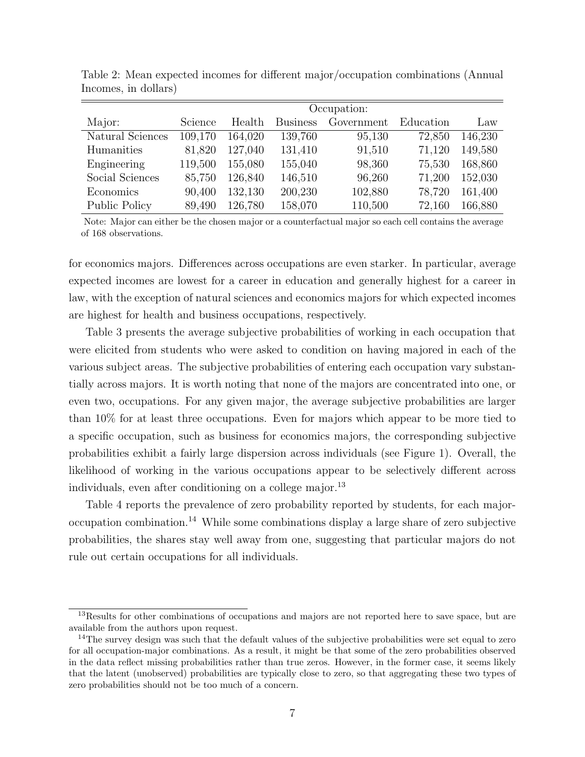|                  |         | Occupation: |                 |            |           |         |  |  |  |
|------------------|---------|-------------|-----------------|------------|-----------|---------|--|--|--|
| Major:           | Science | Health      | <b>Business</b> | Government | Education | Law     |  |  |  |
| Natural Sciences | 109,170 | 164,020     | 139,760         | 95,130     | 72,850    | 146,230 |  |  |  |
| Humanities       | 81,820  | 127,040     | 131,410         | 91,510     | 71,120    | 149,580 |  |  |  |
| Engineering      | 119,500 | 155,080     | 155,040         | 98,360     | 75,530    | 168,860 |  |  |  |
| Social Sciences  | 85,750  | 126,840     | 146,510         | 96,260     | 71,200    | 152,030 |  |  |  |
| Economics        | 90,400  | 132,130     | 200,230         | 102,880    | 78,720    | 161,400 |  |  |  |
| Public Policy    | 89,490  | 126,780     | 158,070         | 110,500    | 72,160    | 166,880 |  |  |  |

<span id="page-9-0"></span>Table 2: Mean expected incomes for different major/occupation combinations (Annual Incomes, in dollars)

Note: Major can either be the chosen major or a counterfactual major so each cell contains the average of 168 observations.

for economics majors. Differences across occupations are even starker. In particular, average expected incomes are lowest for a career in education and generally highest for a career in law, with the exception of natural sciences and economics majors for which expected incomes are highest for health and business occupations, respectively.

Table [3](#page-10-0) presents the average subjective probabilities of working in each occupation that were elicited from students who were asked to condition on having majored in each of the various subject areas. The subjective probabilities of entering each occupation vary substantially across majors. It is worth noting that none of the majors are concentrated into one, or even two, occupations. For any given major, the average subjective probabilities are larger than 10% for at least three occupations. Even for majors which appear to be more tied to a specific occupation, such as business for economics majors, the corresponding subjective probabilities exhibit a fairly large dispersion across individuals (see Figure 1). Overall, the likelihood of working in the various occupations appear to be selectively different across individuals, even after conditioning on a college major.<sup>[13](#page-9-1)</sup>

Table [4](#page-11-0) reports the prevalence of zero probability reported by students, for each majoroccupation combination.[14](#page-9-2) While some combinations display a large share of zero subjective probabilities, the shares stay well away from one, suggesting that particular majors do not rule out certain occupations for all individuals.

<span id="page-9-1"></span><sup>&</sup>lt;sup>13</sup>Results for other combinations of occupations and majors are not reported here to save space, but are available from the authors upon request.

<span id="page-9-2"></span> $14$ The survey design was such that the default values of the subjective probabilities were set equal to zero for all occupation-major combinations. As a result, it might be that some of the zero probabilities observed in the data reflect missing probabilities rather than true zeros. However, in the former case, it seems likely that the latent (unobserved) probabilities are typically close to zero, so that aggregating these two types of zero probabilities should not be too much of a concern.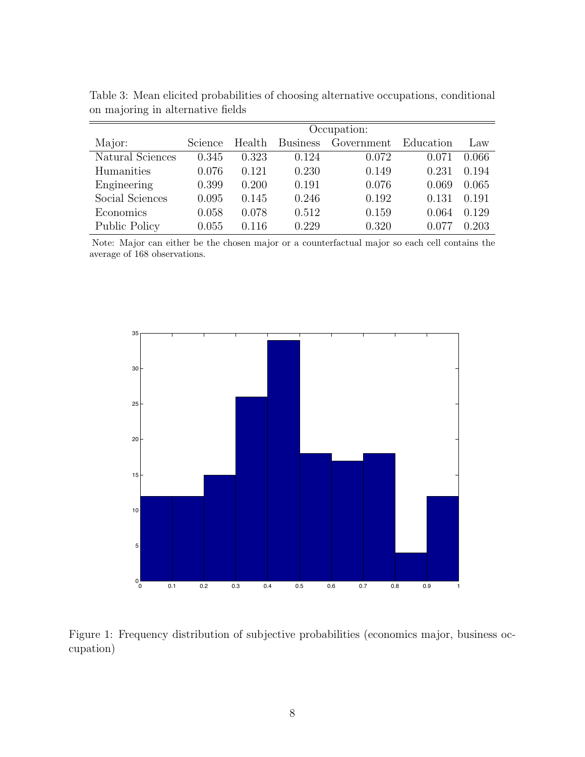|                  | Occupation: |        |                 |            |           |       |  |  |
|------------------|-------------|--------|-----------------|------------|-----------|-------|--|--|
| Major:           | Science     | Health | <b>Business</b> | Government | Education | Law   |  |  |
| Natural Sciences | 0.345       | 0.323  | 0.124           | 0.072      | 0.071     | 0.066 |  |  |
| Humanities       | 0.076       | 0.121  | 0.230           | 0.149      | 0.231     | 0.194 |  |  |
| Engineering      | 0.399       | 0.200  | 0.191           | 0.076      | 0.069     | 0.065 |  |  |
| Social Sciences  | 0.095       | 0.145  | 0.246           | 0.192      | 0.131     | 0.191 |  |  |
| Economics        | 0.058       | 0.078  | 0.512           | 0.159      | 0.064     | 0.129 |  |  |
| Public Policy    | 0.055       | 0.116  | 0.229           | 0.320      |           | 0.203 |  |  |

<span id="page-10-0"></span>Table 3: Mean elicited probabilities of choosing alternative occupations, conditional on majoring in alternative fields

Note: Major can either be the chosen major or a counterfactual major so each cell contains the average of 168 observations.



Figure 1: Frequency distribution of subjective probabilities (economics major, business occupation)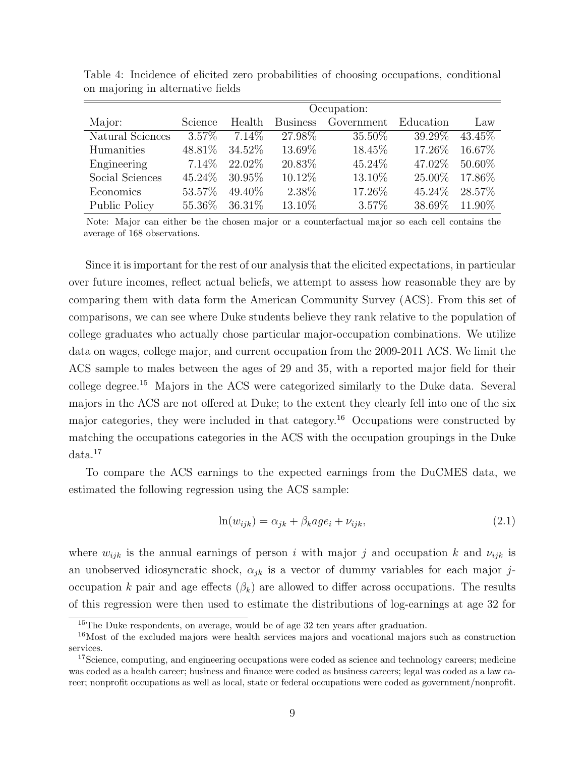|                  |          | Occupation: |                 |            |           |           |  |  |  |
|------------------|----------|-------------|-----------------|------------|-----------|-----------|--|--|--|
| Major:           | Science  | Health      | <b>Business</b> | Government | Education | Law       |  |  |  |
| Natural Sciences | $3.57\%$ | 7.14\%      | 27.98%          | 35.50\%    | 39.29%    | 43.45\%   |  |  |  |
| Humanities       | 48.81\%  | 34.52%      | 13.69%          | 18.45%     | 17.26\%   | 16.67\%   |  |  |  |
| Engineering      | $7.14\%$ | 22.02\%     | 20.83%          | 45.24\%    | 47.02\%   | $50.60\%$ |  |  |  |
| Social Sciences  | 45.24\%  | $30.95\%$   | 10.12\%         | 13.10%     | 25.00%    | 17.86%    |  |  |  |
| Economics        | 53.57%   | 49.40\%     | 2.38\%          | 17.26%     | 45.24\%   | 28.57%    |  |  |  |
| Public Policy    | 55.36\%  | $36.31\%$   | 13.10\%         | 3.57%      | 38.69%    | 11.90%    |  |  |  |

<span id="page-11-0"></span>Table 4: Incidence of elicited zero probabilities of choosing occupations, conditional on majoring in alternative fields

Note: Major can either be the chosen major or a counterfactual major so each cell contains the average of 168 observations.

Since it is important for the rest of our analysis that the elicited expectations, in particular over future incomes, reflect actual beliefs, we attempt to assess how reasonable they are by comparing them with data form the American Community Survey (ACS). From this set of comparisons, we can see where Duke students believe they rank relative to the population of college graduates who actually chose particular major-occupation combinations. We utilize data on wages, college major, and current occupation from the 2009-2011 ACS. We limit the ACS sample to males between the ages of 29 and 35, with a reported major field for their college degree.[15](#page-11-1) Majors in the ACS were categorized similarly to the Duke data. Several majors in the ACS are not offered at Duke; to the extent they clearly fell into one of the six major categories, they were included in that category.<sup>[16](#page-11-2)</sup> Occupations were constructed by matching the occupations categories in the ACS with the occupation groupings in the Duke  $data.<sup>17</sup>$  $data.<sup>17</sup>$  $data.<sup>17</sup>$ 

To compare the ACS earnings to the expected earnings from the DuCMES data, we estimated the following regression using the ACS sample:

$$
\ln(w_{ijk}) = \alpha_{jk} + \beta_k a g e_i + \nu_{ijk},\tag{2.1}
$$

where  $w_{ijk}$  is the annual earnings of person i with major j and occupation k and  $v_{ijk}$  is an unobserved idiosyncratic shock,  $\alpha_{ik}$  is a vector of dummy variables for each major joccupation k pair and age effects  $(\beta_k)$  are allowed to differ across occupations. The results of this regression were then used to estimate the distributions of log-earnings at age 32 for

<span id="page-11-2"></span><span id="page-11-1"></span><sup>&</sup>lt;sup>15</sup>The Duke respondents, on average, would be of age 32 ten years after graduation.

 $16$ Most of the excluded majors were health services majors and vocational majors such as construction services.

<span id="page-11-3"></span><sup>&</sup>lt;sup>17</sup>Science, computing, and engineering occupations were coded as science and technology careers; medicine was coded as a health career; business and finance were coded as business careers; legal was coded as a law career; nonprofit occupations as well as local, state or federal occupations were coded as government/nonprofit.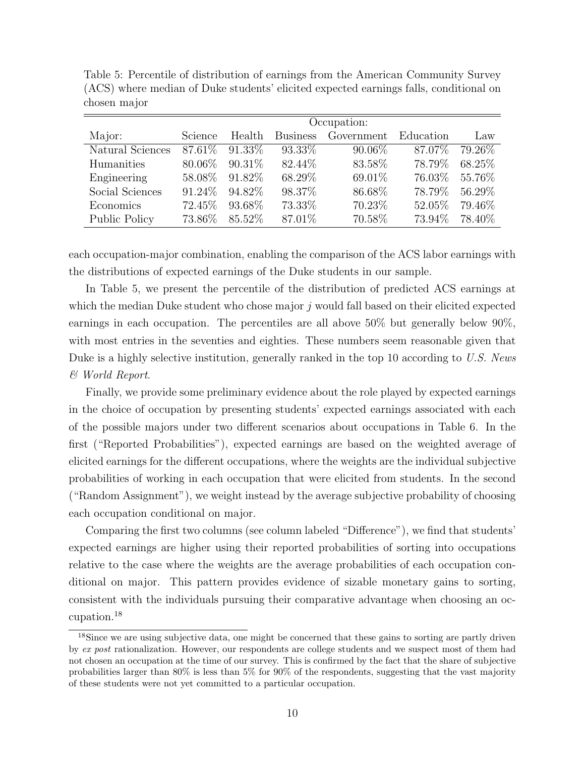|                  | Occupation:    |           |                 |            |           |         |  |  |  |
|------------------|----------------|-----------|-----------------|------------|-----------|---------|--|--|--|
| Major:           | <b>Science</b> | Health    | <b>Business</b> | Government | Education | Law     |  |  |  |
| Natural Sciences | 87.61\%        | $91.33\%$ | 93.33\%         | $90.06\%$  | 87.07\%   | 79.26\% |  |  |  |
| Humanities       | 80.06\%        | $90.31\%$ | 82.44\%         | 83.58%     | 78.79%    | 68.25\% |  |  |  |
| Engineering      | 58.08%         | 91.82\%   | 68.29%          | 69.01\%    | 76.03%    | 55.76%  |  |  |  |
| Social Sciences  | 91.24\%        | 94.82\%   | 98.37%          | 86.68%     | 78.79%    | 56.29%  |  |  |  |
| Economics        | 72.45\%        | 93.68%    | 73.33%          | 70.23%     | 52.05%    | 79.46%  |  |  |  |
| Public Policy    | 73.86\%        | 85.52\%   | 87.01\%         | 70.58%     | 73.94%    | 78.40%  |  |  |  |

<span id="page-12-0"></span>Table 5: Percentile of distribution of earnings from the American Community Survey (ACS) where median of Duke students' elicited expected earnings falls, conditional on chosen major

each occupation-major combination, enabling the comparison of the ACS labor earnings with the distributions of expected earnings of the Duke students in our sample.

In Table [5,](#page-12-0) we present the percentile of the distribution of predicted ACS earnings at which the median Duke student who chose major  $j$  would fall based on their elicited expected earnings in each occupation. The percentiles are all above 50% but generally below 90%, with most entries in the seventies and eighties. These numbers seem reasonable given that Duke is a highly selective institution, generally ranked in the top 10 according to U.S. News & World Report.

Finally, we provide some preliminary evidence about the role played by expected earnings in the choice of occupation by presenting students' expected earnings associated with each of the possible majors under two different scenarios about occupations in Table [6.](#page-13-1) In the first ("Reported Probabilities"), expected earnings are based on the weighted average of elicited earnings for the different occupations, where the weights are the individual subjective probabilities of working in each occupation that were elicited from students. In the second ("Random Assignment"), we weight instead by the average subjective probability of choosing each occupation conditional on major.

Comparing the first two columns (see column labeled "Difference"), we find that students' expected earnings are higher using their reported probabilities of sorting into occupations relative to the case where the weights are the average probabilities of each occupation conditional on major. This pattern provides evidence of sizable monetary gains to sorting, consistent with the individuals pursuing their comparative advantage when choosing an occupation.[18](#page-12-1)

<span id="page-12-1"></span><sup>&</sup>lt;sup>18</sup>Since we are using subjective data, one might be concerned that these gains to sorting are partly driven by ex post rationalization. However, our respondents are college students and we suspect most of them had not chosen an occupation at the time of our survey. This is confirmed by the fact that the share of subjective probabilities larger than 80% is less than 5% for 90% of the respondents, suggesting that the vast majority of these students were not yet committed to a particular occupation.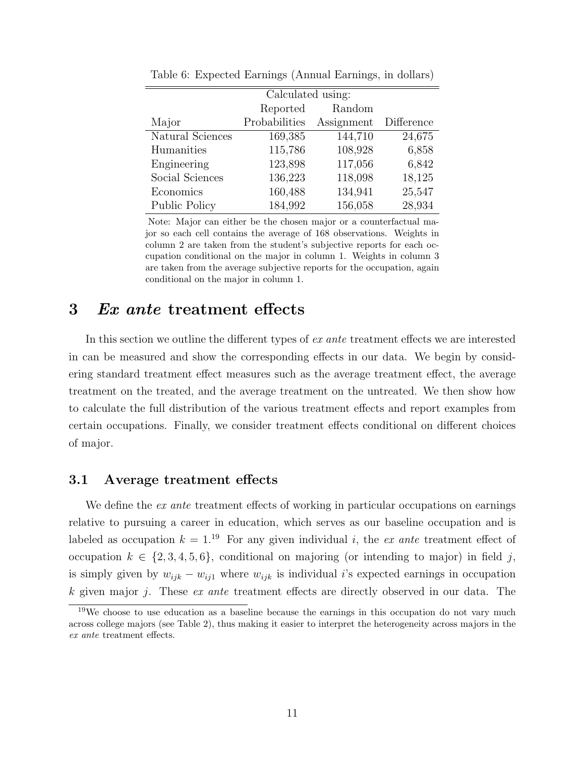| Calculated using:    |               |            |            |  |  |  |  |  |  |
|----------------------|---------------|------------|------------|--|--|--|--|--|--|
|                      | Reported      | Random     |            |  |  |  |  |  |  |
| Major                | Probabilities | Assignment | Difference |  |  |  |  |  |  |
| Natural Sciences     | 169,385       | 144,710    | 24,675     |  |  |  |  |  |  |
| Humanities           | 115,786       | 108,928    | 6,858      |  |  |  |  |  |  |
| Engineering          | 123,898       | 117,056    | 6,842      |  |  |  |  |  |  |
| Social Sciences      | 136,223       | 118,098    | 18,125     |  |  |  |  |  |  |
| Economics            | 160,488       | 134,941    | 25,547     |  |  |  |  |  |  |
| <b>Public Policy</b> | 184,992       | 156,058    | 28,934     |  |  |  |  |  |  |

<span id="page-13-1"></span>Table 6: Expected Earnings (Annual Earnings, in dollars)

Note: Major can either be the chosen major or a counterfactual major so each cell contains the average of 168 observations. Weights in column 2 are taken from the student's subjective reports for each occupation conditional on the major in column 1. Weights in column 3 are taken from the average subjective reports for the occupation, again conditional on the major in column 1.

### <span id="page-13-0"></span>3 Ex ante treatment effects

In this section we outline the different types of *ex ante* treatment effects we are interested in can be measured and show the corresponding effects in our data. We begin by considering standard treatment effect measures such as the average treatment effect, the average treatment on the treated, and the average treatment on the untreated. We then show how to calculate the full distribution of the various treatment effects and report examples from certain occupations. Finally, we consider treatment effects conditional on different choices of major.

### 3.1 Average treatment effects

We define the  $ex$  ante treatment effects of working in particular occupations on earnings relative to pursuing a career in education, which serves as our baseline occupation and is labeled as occupation  $k = 1^{19}$  $k = 1^{19}$  $k = 1^{19}$  For any given individual i, the ex ante treatment effect of occupation  $k \in \{2, 3, 4, 5, 6\}$ , conditional on majoring (or intending to major) in field j, is simply given by  $w_{ijk} - w_{ij1}$  where  $w_{ijk}$  is individual i's expected earnings in occupation k given major j. These  $ex$  ante treatment effects are directly observed in our data. The

<span id="page-13-2"></span><sup>&</sup>lt;sup>19</sup>We choose to use education as a baseline because the earnings in this occupation do not vary much across college majors (see Table [2\)](#page-9-0), thus making it easier to interpret the heterogeneity across majors in the ex ante treatment effects.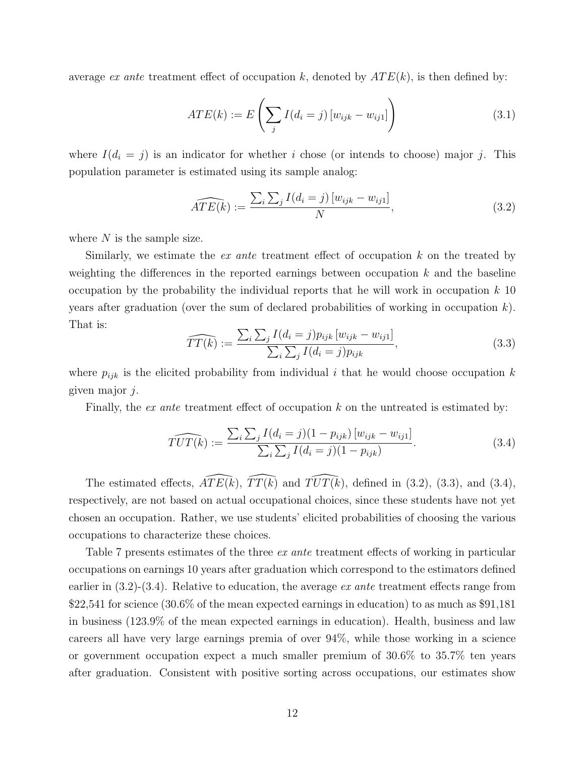average ex ante treatment effect of occupation k, denoted by  $ATE(k)$ , is then defined by:

$$
ATE(k) := E\left(\sum_{j} I(d_i = j) \left[w_{ijk} - w_{ij1}\right]\right)
$$
\n(3.1)

where  $I(d_i = j)$  is an indicator for whether i chose (or intends to choose) major j. This population parameter is estimated using its sample analog:

<span id="page-14-0"></span>
$$
\widehat{ATE(k)} := \frac{\sum_{i} \sum_{j} I(d_i = j) [w_{ijk} - w_{ij1}]}{N}, \tag{3.2}
$$

where  $N$  is the sample size.

Similarly, we estimate the *ex ante* treatment effect of occupation  $k$  on the treated by weighting the differences in the reported earnings between occupation  $k$  and the baseline occupation by the probability the individual reports that he will work in occupation  $k$  10 years after graduation (over the sum of declared probabilities of working in occupation  $k$ ). That is:

<span id="page-14-1"></span>
$$
\widehat{TT(k)} := \frac{\sum_{i} \sum_{j} I(d_i = j) p_{ijk} [w_{ijk} - w_{ij1}]}{\sum_{i} \sum_{j} I(d_i = j) p_{ijk}},
$$
\n(3.3)

where  $p_{ijk}$  is the elicited probability from individual i that he would choose occupation k given major j.

Finally, the *ex ante* treatment effect of occupation  $k$  on the untreated is estimated by:

<span id="page-14-2"></span>
$$
\widehat{TUT(k)} := \frac{\sum_{i} \sum_{j} I(d_i = j)(1 - p_{ijk}) [w_{ijk} - w_{ij1}]}{\sum_{i} \sum_{j} I(d_i = j)(1 - p_{ijk})}.
$$
\n(3.4)

The estimated effects,  $\widehat{ATE(k)}$ ,  $\widehat{TT(\hat{k})}$  and  $\widehat{TUT(\hat{k})}$ , defined in [\(3.2\)](#page-14-0), [\(3.3\)](#page-14-1), and [\(3.4\)](#page-14-2), respectively, are not based on actual occupational choices, since these students have not yet chosen an occupation. Rather, we use students' elicited probabilities of choosing the various occupations to characterize these choices.

Table [7](#page-15-0) presents estimates of the three *ex ante* treatment effects of working in particular occupations on earnings 10 years after graduation which correspond to the estimators defined earlier in  $(3.2)-(3.4)$ . Relative to education, the average ex ante treatment effects range from \$22,541 for science (30.6% of the mean expected earnings in education) to as much as \$91,181 in business (123.9% of the mean expected earnings in education). Health, business and law careers all have very large earnings premia of over 94%, while those working in a science or government occupation expect a much smaller premium of 30.6% to 35.7% ten years after graduation. Consistent with positive sorting across occupations, our estimates show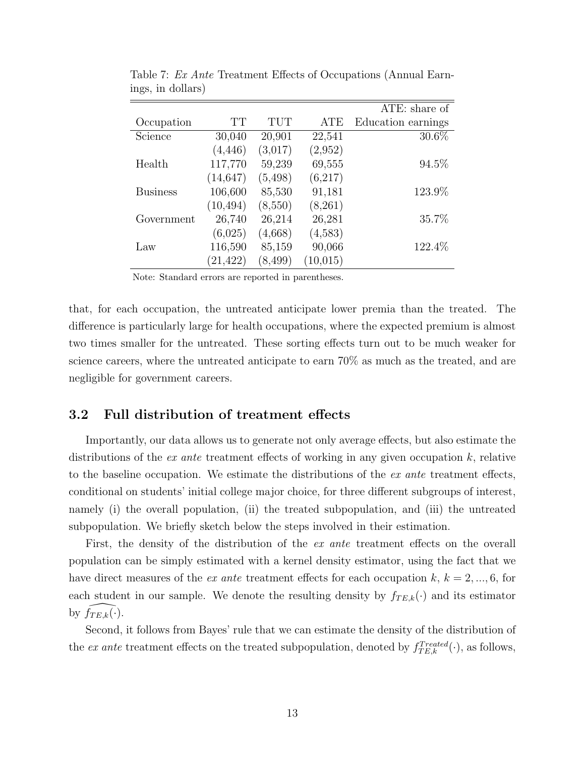|                 |           |          |          | ATE: share of      |
|-----------------|-----------|----------|----------|--------------------|
| Occupation      | TT        | TUT      | ATE      | Education earnings |
| Science         | 30,040    | 20,901   | 22,541   | $30.6\%$           |
|                 | (4, 446)  | (3,017)  | (2,952)  |                    |
| Health          | 117,770   | 59,239   | 69,555   | 94.5%              |
|                 | (14, 647) | (5, 498) | (6,217)  |                    |
| <b>Business</b> | 106,600   | 85,530   | 91,181   | 123.9%             |
|                 | (10, 494) | (8,550)  | (8,261)  |                    |
| Government      | 26,740    | 26,214   | 26,281   | 35.7%              |
|                 | (6,025)   | (4,668)  | (4,583)  |                    |
| Law             | 116,590   | 85,159   | 90,066   | 122.4%             |
|                 | (21, 422) | (8, 499) | (10.015) |                    |

<span id="page-15-0"></span>Table 7: Ex Ante Treatment Effects of Occupations (Annual Earnings, in dollars)

Note: Standard errors are reported in parentheses.

that, for each occupation, the untreated anticipate lower premia than the treated. The difference is particularly large for health occupations, where the expected premium is almost two times smaller for the untreated. These sorting effects turn out to be much weaker for science careers, where the untreated anticipate to earn 70% as much as the treated, and are negligible for government careers.

### 3.2 Full distribution of treatment effects

Importantly, our data allows us to generate not only average effects, but also estimate the distributions of the *ex ante* treatment effects of working in any given occupation  $k$ , relative to the baseline occupation. We estimate the distributions of the ex ante treatment effects, conditional on students' initial college major choice, for three different subgroups of interest, namely (i) the overall population, (ii) the treated subpopulation, and (iii) the untreated subpopulation. We briefly sketch below the steps involved in their estimation.

First, the density of the distribution of the *ex ante* treatment effects on the overall population can be simply estimated with a kernel density estimator, using the fact that we have direct measures of the *ex ante* treatment effects for each occupation  $k, k = 2, ..., 6$ , for each student in our sample. We denote the resulting density by  $f_{TE,k}(\cdot)$  and its estimator by  $f_{TE,k}(\cdot)$ .

Second, it follows from Bayes' rule that we can estimate the density of the distribution of the ex ante treatment effects on the treated subpopulation, denoted by  $f_{TE,k}^{Treated}(\cdot)$ , as follows,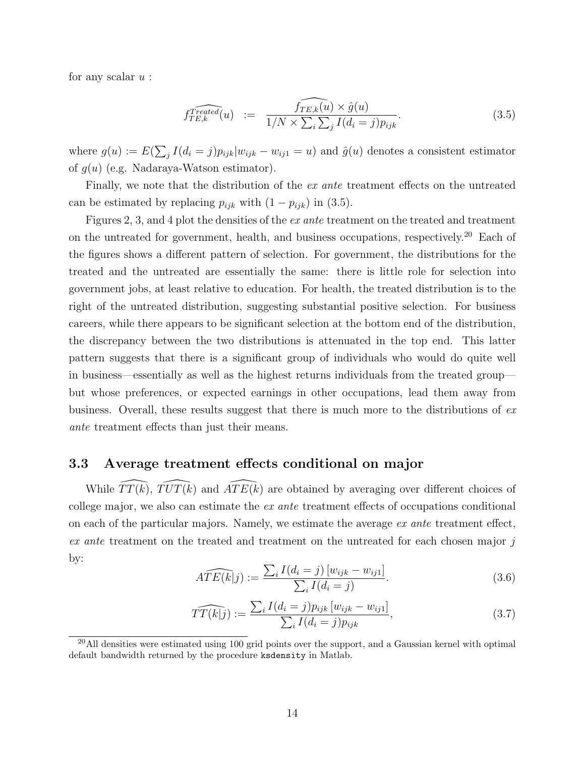for any scalar  $u$ :

<span id="page-16-0"></span>
$$
\widehat{f_{TE,k}^{read}}(u) := \widehat{f_{TE,k}(u) \times \widehat{g}(u)} \tag{3.5}
$$
\n
$$
\widehat{f_{TE,k}(u) \times \sum_{i} \sum_{j} I(d_i = j) p_{ijk}}.
$$

where  $g(u) := E(\sum_j I(d_i = j)p_{ijk}|w_{ijk} - w_{ij1} = u)$  and  $\hat{g}(u)$  denotes a consistent estimator of  $g(u)$  (e.g. Nadaraya-Watson estimator).

Finally, we note that the distribution of the *ex ante* treatment effects on the untreated can be estimated by replacing  $p_{ijk}$  with  $(1 - p_{ijk})$  in  $(3.5)$ .

Figures [2,](#page-17-0) [3,](#page-18-0) and [4](#page-19-0) plot the densities of the ex ante treatment on the treated and treatment on the untreated for government, health, and business occupations, respectively.[20](#page-16-1) Each of the figures shows a different pattern of selection. For government, the distributions for the treated and the untreated are essentially the same: there is little role for selection into government jobs, at least relative to education. For health, the treated distribution is to the right of the untreated distribution, suggesting substantial positive selection. For business careers, while there appears to be significant selection at the bottom end of the distribution, the discrepancy between the two distributions is attenuated in the top end. This latter pattern suggests that there is a significant group of individuals who would do quite well in business—essentially as well as the highest returns individuals from the treated group but whose preferences, or expected earnings in other occupations, lead them away from business. Overall, these results suggest that there is much more to the distributions of ex ante treatment effects than just their means.

### 3.3 Average treatment effects conditional on major

While  $\widehat{TT(k)}$ ,  $\widehat{TUT(k)}$  and  $\widehat{ATE(k)}$  are obtained by averaging over different choices of college major, we also can estimate the ex ante treatment effects of occupations conditional on each of the particular majors. Namely, we estimate the average  $ex$  ante treatment effect, ex ante treatment on the treated and treatment on the untreated for each chosen major j by:

$$
\widehat{ATE(k|j)} := \frac{\sum_{i} I(d_i = j) [w_{ijk} - w_{ij1}]}{\sum_{i} I(d_i = j)}.
$$
\n(3.6)

$$
\widehat{TT(k|j)} := \frac{\sum_{i} I(d_i = j) p_{ijk} [w_{ijk} - w_{ij1}]}{\sum_{i} I(d_i = j) p_{ijk}},
$$
\n(3.7)

<span id="page-16-1"></span> $^{20}$ All densities were estimated using 100 grid points over the support, and a Gaussian kernel with optimal default bandwidth returned by the procedure ksdensity in Matlab.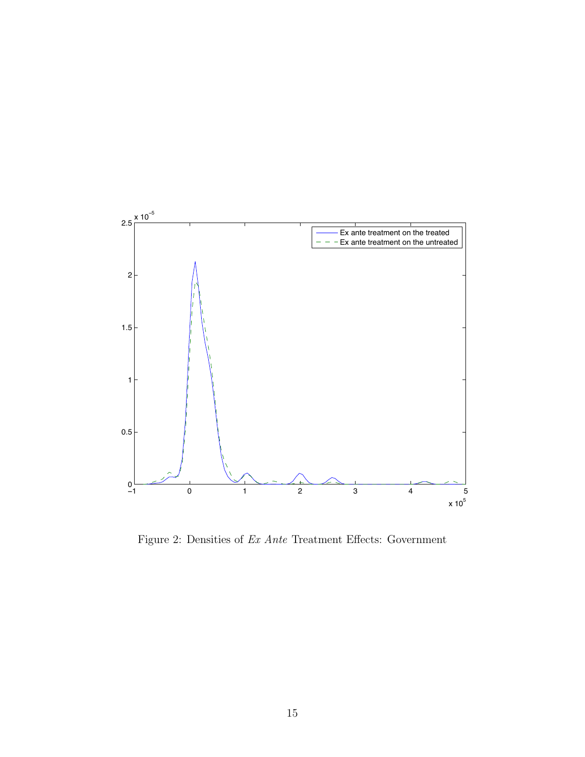

<span id="page-17-0"></span>Figure 2: Densities of Ex Ante Treatment Effects: Government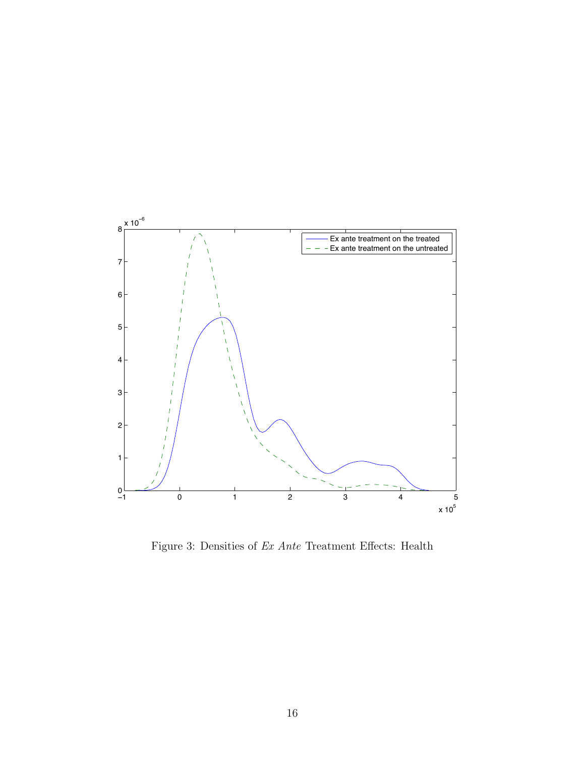

<span id="page-18-0"></span>Figure 3: Densities of Ex Ante Treatment Effects: Health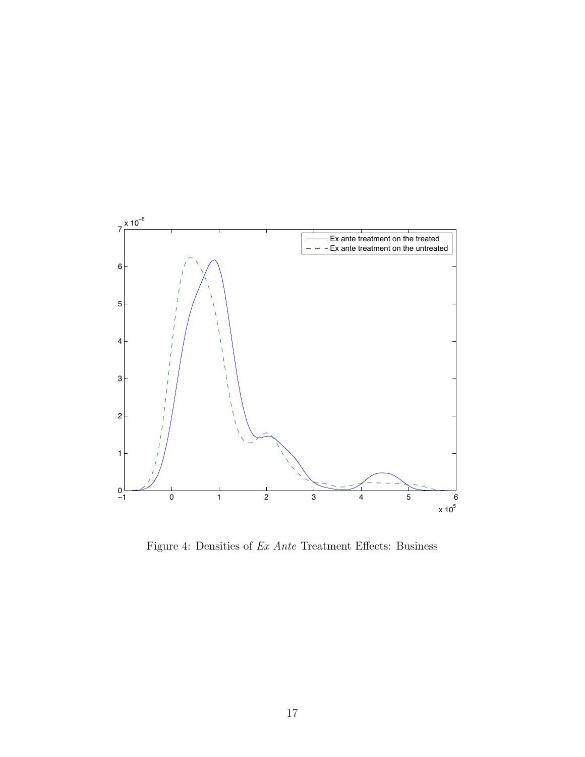

<span id="page-19-0"></span>Figure 4: Densities of Ex Ante Treatment Effects: Business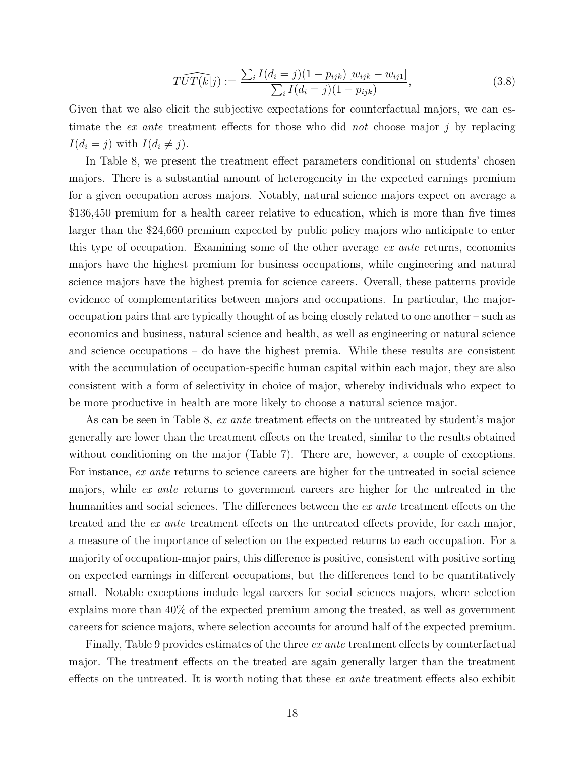$$
\widehat{TUT(k|j)} := \frac{\sum_{i} I(d_i = j)(1 - p_{ijk}) [w_{ijk} - w_{ij1}]}{\sum_{i} I(d_i = j)(1 - p_{ijk})},\tag{3.8}
$$

Given that we also elicit the subjective expectations for counterfactual majors, we can estimate the *ex ante* treatment effects for those who did *not* choose major  $j$  by replacing  $I(d_i = j)$  with  $I(d_i \neq j)$ .

In Table [8,](#page-22-0) we present the treatment effect parameters conditional on students' chosen majors. There is a substantial amount of heterogeneity in the expected earnings premium for a given occupation across majors. Notably, natural science majors expect on average a \$136,450 premium for a health career relative to education, which is more than five times larger than the \$24,660 premium expected by public policy majors who anticipate to enter this type of occupation. Examining some of the other average ex ante returns, economics majors have the highest premium for business occupations, while engineering and natural science majors have the highest premia for science careers. Overall, these patterns provide evidence of complementarities between majors and occupations. In particular, the majoroccupation pairs that are typically thought of as being closely related to one another – such as economics and business, natural science and health, as well as engineering or natural science and science occupations – do have the highest premia. While these results are consistent with the accumulation of occupation-specific human capital within each major, they are also consistent with a form of selectivity in choice of major, whereby individuals who expect to be more productive in health are more likely to choose a natural science major.

As can be seen in Table [8,](#page-22-0) ex ante treatment effects on the untreated by student's major generally are lower than the treatment effects on the treated, similar to the results obtained without conditioning on the major (Table [7\)](#page-15-0). There are, however, a couple of exceptions. For instance, ex ante returns to science careers are higher for the untreated in social science majors, while ex ante returns to government careers are higher for the untreated in the humanities and social sciences. The differences between the *ex ante* treatment effects on the treated and the ex ante treatment effects on the untreated effects provide, for each major, a measure of the importance of selection on the expected returns to each occupation. For a majority of occupation-major pairs, this difference is positive, consistent with positive sorting on expected earnings in different occupations, but the differences tend to be quantitatively small. Notable exceptions include legal careers for social sciences majors, where selection explains more than 40% of the expected premium among the treated, as well as government careers for science majors, where selection accounts for around half of the expected premium.

Finally, Table [9](#page-23-0) provides estimates of the three *ex ante* treatment effects by counterfactual major. The treatment effects on the treated are again generally larger than the treatment effects on the untreated. It is worth noting that these  $ex$  ante treatment effects also exhibit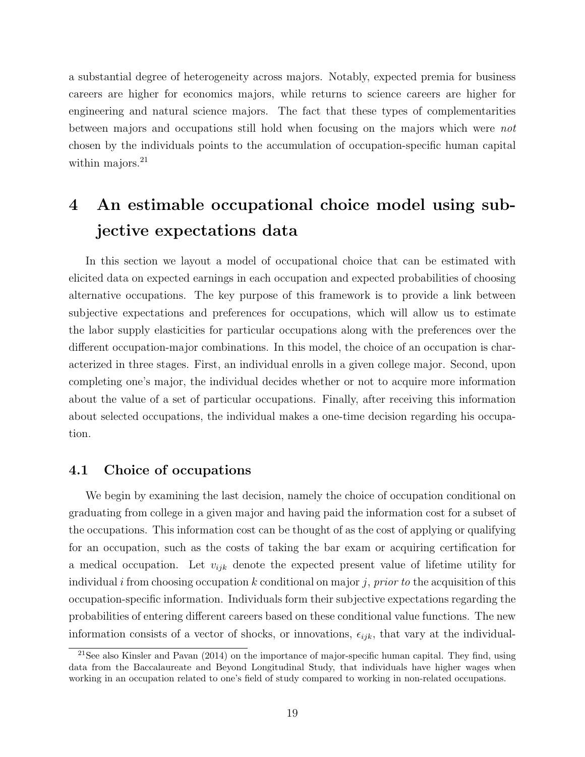a substantial degree of heterogeneity across majors. Notably, expected premia for business careers are higher for economics majors, while returns to science careers are higher for engineering and natural science majors. The fact that these types of complementarities between majors and occupations still hold when focusing on the majors which were not chosen by the individuals points to the accumulation of occupation-specific human capital within majors. $^{21}$  $^{21}$  $^{21}$ 

## <span id="page-21-0"></span>4 An estimable occupational choice model using subjective expectations data

In this section we layout a model of occupational choice that can be estimated with elicited data on expected earnings in each occupation and expected probabilities of choosing alternative occupations. The key purpose of this framework is to provide a link between subjective expectations and preferences for occupations, which will allow us to estimate the labor supply elasticities for particular occupations along with the preferences over the different occupation-major combinations. In this model, the choice of an occupation is characterized in three stages. First, an individual enrolls in a given college major. Second, upon completing one's major, the individual decides whether or not to acquire more information about the value of a set of particular occupations. Finally, after receiving this information about selected occupations, the individual makes a one-time decision regarding his occupation.

### 4.1 Choice of occupations

We begin by examining the last decision, namely the choice of occupation conditional on graduating from college in a given major and having paid the information cost for a subset of the occupations. This information cost can be thought of as the cost of applying or qualifying for an occupation, such as the costs of taking the bar exam or acquiring certification for a medical occupation. Let  $v_{ijk}$  denote the expected present value of lifetime utility for individual i from choosing occupation k conditional on major j, prior to the acquisition of this occupation-specific information. Individuals form their subjective expectations regarding the probabilities of entering different careers based on these conditional value functions. The new information consists of a vector of shocks, or innovations,  $\epsilon_{ijk}$ , that vary at the individual-

<span id="page-21-1"></span><sup>&</sup>lt;sup>21</sup>See also [Kinsler and Pavan](#page-39-9)  $(2014)$  on the importance of major-specific human capital. They find, using data from the Baccalaureate and Beyond Longitudinal Study, that individuals have higher wages when working in an occupation related to one's field of study compared to working in non-related occupations.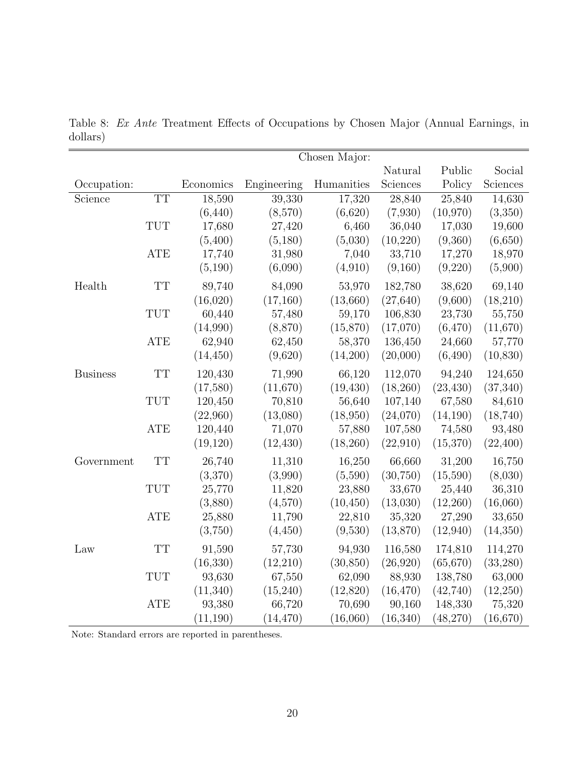|                 |            |           |             | Chosen Major: |           |           |           |
|-----------------|------------|-----------|-------------|---------------|-----------|-----------|-----------|
|                 |            |           |             |               | Natural   | Public    | Social    |
| Occupation:     |            | Economics | Engineering | Humanities    | Sciences  | Policy    | Sciences  |
| Science         | <b>TT</b>  | 18,590    | 39,330      | 17,320        | 28,840    | 25,840    | 14,630    |
|                 |            | (6, 440)  | (8,570)     | (6,620)       | (7,930)   | (10,970)  | (3,350)   |
|                 | <b>TUT</b> | 17,680    | 27,420      | 6,460         | 36,040    | 17,030    | 19,600    |
|                 |            | (5,400)   | (5,180)     | (5,030)       | (10, 220) | (9,360)   | (6,650)   |
|                 | ATE        | 17,740    | 31,980      | 7,040         | 33,710    | 17,270    | 18,970    |
|                 |            | (5,190)   | (6,090)     | (4,910)       | (9,160)   | (9,220)   | (5,900)   |
| Health          | <b>TT</b>  | 89,740    | 84,090      | 53,970        | 182,780   | 38,620    | 69,140    |
|                 |            | (16,020)  | (17,160)    | (13,660)      | (27, 640) | (9,600)   | (18,210)  |
|                 | <b>TUT</b> | 60,440    | 57,480      | 59,170        | 106,830   | 23,730    | 55,750    |
|                 |            | (14,990)  | (8,870)     | (15,870)      | (17,070)  | (6, 470)  | (11,670)  |
|                 | <b>ATE</b> | 62,940    | 62,450      | 58,370        | 136,450   | 24,660    | 57,770    |
|                 |            | (14, 450) | (9,620)     | (14,200)      | (20,000)  | (6,490)   | (10, 830) |
| <b>Business</b> | <b>TT</b>  | 120,430   | 71,990      | 66,120        | 112,070   | 94,240    | 124,650   |
|                 |            | (17,580)  | (11,670)    | (19, 430)     | (18,260)  | (23, 430) | (37, 340) |
|                 | <b>TUT</b> | 120,450   | 70,810      | 56,640        | 107,140   | 67,580    | 84,610    |
|                 |            | (22,960)  | (13,080)    | (18,950)      | (24,070)  | (14,190)  | (18, 740) |
|                 | <b>ATE</b> | 120,440   | 71,070      | 57,880        | 107,580   | 74,580    | 93,480    |
|                 |            | (19,120)  | (12, 430)   | (18,260)      | (22,910)  | (15,370)  | (22, 400) |
| Government      | <b>TT</b>  | 26,740    | 11,310      | 16,250        | 66,660    | 31,200    | 16,750    |
|                 |            | (3,370)   | (3,990)     | (5,590)       | (30, 750) | (15,590)  | (8,030)   |
|                 | <b>TUT</b> | 25,770    | 11,820      | 23,880        | 33,670    | 25,440    | 36,310    |
|                 |            | (3,880)   | (4,570)     | (10, 450)     | (13,030)  | (12,260)  | (16,060)  |
|                 | ATE        | 25,880    | 11,790      | 22,810        | 35,320    | 27,290    | 33,650    |
|                 |            | (3,750)   | (4, 450)    | (9,530)       | (13,870)  | (12,940)  | (14, 350) |
| Law             | <b>TT</b>  | 91,590    | 57,730      | 94,930        | 116,580   | 174,810   | 114,270   |
|                 |            | (16, 330) | (12,210)    | (30, 850)     | (26, 920) | (65, 670) | (33, 280) |
|                 | <b>TUT</b> | 93,630    | 67,550      | 62,090        | 88,930    | 138,780   | 63,000    |
|                 |            | (11,340)  | (15,240)    | (12,820)      | (16, 470) | (42,740)  | (12,250)  |
|                 | <b>ATE</b> | 93,380    | 66,720      | 70,690        | 90,160    | 148,330   | 75,320    |
|                 |            | (11, 190) | (14, 470)   | (16,060)      | (16, 340) | (48,270)  | (16, 670) |

<span id="page-22-0"></span>Table 8: Ex Ante Treatment Effects of Occupations by Chosen Major (Annual Earnings, in dollars)

Note: Standard errors are reported in parentheses.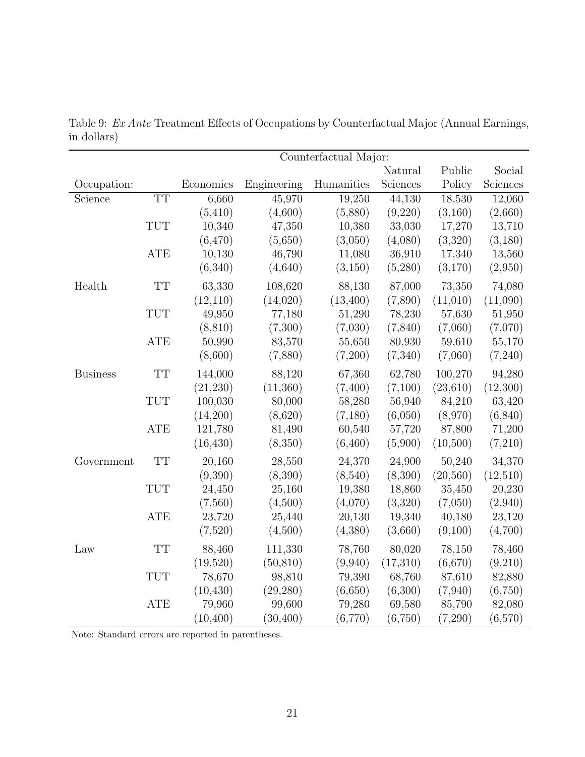|                 | Counterfactual Major: |           |             |            |          |           |          |
|-----------------|-----------------------|-----------|-------------|------------|----------|-----------|----------|
|                 |                       |           |             |            | Natural  | Public    | Social   |
| Occupation:     |                       | Economics | Engineering | Humanities | Sciences | Policy    | Sciences |
| Science         | <b>TT</b>             | 6,660     | 45,970      | 19,250     | 44,130   | 18,530    | 12,060   |
|                 |                       | (5,410)   | (4,600)     | (5,880)    | (9,220)  | (3,160)   | (2,660)  |
|                 | <b>TUT</b>            | 10,340    | 47,350      | 10,380     | 33,030   | 17,270    | 13,710   |
|                 |                       | (6, 470)  | (5,650)     | (3,050)    | (4,080)  | (3,320)   | (3,180)  |
|                 | <b>ATE</b>            | 10,130    | 46,790      | 11,080     | 36,910   | 17,340    | 13,560   |
|                 |                       | (6,340)   | (4,640)     | (3,150)    | (5,280)  | (3,170)   | (2,950)  |
| Health          | <b>TT</b>             | 63,330    | 108,620     | 88,130     | 87,000   | 73,350    | 74,080   |
|                 |                       | (12,110)  | (14,020)    | (13, 400)  | (7,890)  | (11,010)  | (11,090) |
|                 | <b>TUT</b>            | 49,950    | 77,180      | 51,290     | 78,230   | 57,630    | 51,950   |
|                 |                       | (8, 810)  | (7,300)     | (7,030)    | (7,840)  | (7,060)   | (7,070)  |
|                 | <b>ATE</b>            | 50,990    | 83,570      | 55,650     | 80,930   | 59,610    | 55,170   |
|                 |                       | (8,600)   | (7,880)     | (7,200)    | (7,340)  | (7,060)   | (7,240)  |
| <b>Business</b> | <b>TT</b>             | 144,000   | 88,120      | 67,360     | 62,780   | 100,270   | 94,280   |
|                 |                       | (21, 230) | (11,360)    | (7,400)    | (7,100)  | (23, 610) | (12,300) |
|                 | <b>TUT</b>            | 100,030   | 80,000      | 58,280     | 56,940   | 84,210    | 63,420   |
|                 |                       | (14,200)  | (8,620)     | (7,180)    | (6,050)  | (8,970)   | (6, 840) |
|                 | <b>ATE</b>            | 121,780   | 81,490      | 60,540     | 57,720   | 87,800    | 71,200   |
|                 |                       | (16, 430) | (8,350)     | (6,460)    | (5,900)  | (10,500)  | (7,210)  |
| Government      | <b>TT</b>             | 20,160    | 28,550      | 24,370     | 24,900   | 50,240    | 34,370   |
|                 |                       | (9,390)   | (8,390)     | (8,540)    | (8,390)  | (20, 560) | (12,510) |
|                 | <b>TUT</b>            | 24,450    | 25,160      | 19,380     | 18,860   | 35,450    | 20,230   |
|                 |                       | (7,560)   | (4,500)     | (4,070)    | (3,320)  | (7,050)   | (2,940)  |
|                 | <b>ATE</b>            | 23,720    | 25,440      | 20,130     | 19,340   | 40,180    | 23,120   |
|                 |                       | (7,520)   | (4,500)     | (4,380)    | (3,660)  | (9,100)   | (4,700)  |
| Law             | <b>TT</b>             | 88,460    | 111,330     | 78,760     | 80,020   | 78,150    | 78,460   |
|                 |                       | (19,520)  | (50, 810)   | (9,940)    | (17,310) | (6,670)   | (9,210)  |
|                 | <b>TUT</b>            | 78,670    | 98,810      | 79,390     | 68,760   | 87,610    | 82,880   |
|                 |                       | (10, 430) | (29, 280)   | (6,650)    | (6,300)  | (7,940)   | (6,750)  |
|                 | ATE                   | 79,960    | 99,600      | 79,280     | 69,580   | 85,790    | 82,080   |
|                 |                       | (10, 400) | (30, 400)   | (6,770)    | (6,750)  | (7,290)   | (6,570)  |

<span id="page-23-0"></span>Table 9: Ex Ante Treatment Effects of Occupations by Counterfactual Major (Annual Earnings, in dollars)

Note: Standard errors are reported in parentheses.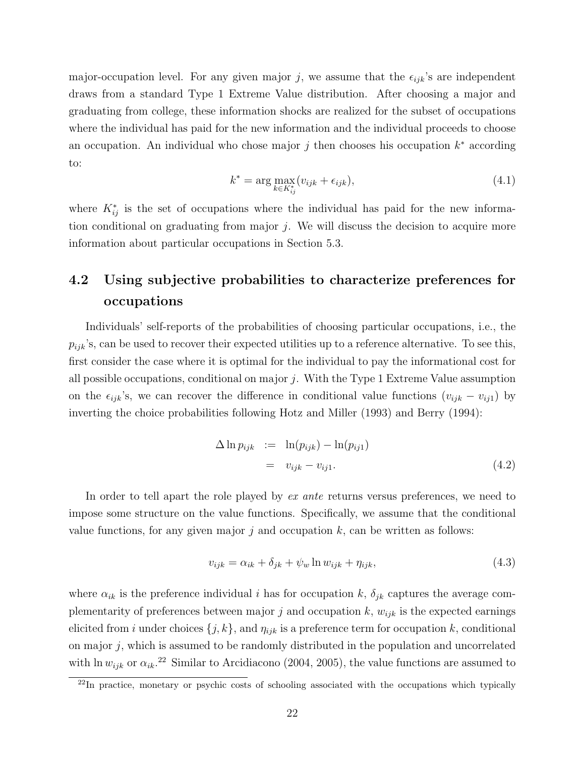major-occupation level. For any given major j, we assume that the  $\epsilon_{ijk}$ 's are independent draws from a standard Type 1 Extreme Value distribution. After choosing a major and graduating from college, these information shocks are realized for the subset of occupations where the individual has paid for the new information and the individual proceeds to choose an occupation. An individual who chose major  $j$  then chooses his occupation  $k^*$  according to:

$$
k^* = \arg\max_{k \in K_{ij}^*} (v_{ijk} + \epsilon_{ijk}),
$$
\n(4.1)

where  $K_{ij}^*$  is the set of occupations where the individual has paid for the new information conditional on graduating from major  $j$ . We will discuss the decision to acquire more information about particular occupations in Section 5.3.

## 4.2 Using subjective probabilities to characterize preferences for occupations

Individuals' self-reports of the probabilities of choosing particular occupations, i.e., the  $p_{ijk}$ 's, can be used to recover their expected utilities up to a reference alternative. To see this, first consider the case where it is optimal for the individual to pay the informational cost for all possible occupations, conditional on major  $j$ . With the Type 1 Extreme Value assumption on the  $\epsilon_{ijk}$ 's, we can recover the difference in conditional value functions  $(v_{ijk} - v_{ij1})$  by inverting the choice probabilities following [Hotz and Miller \(1993\)](#page-39-11) and [Berry \(1994\)](#page-38-8):

$$
\Delta \ln p_{ijk} := \ln(p_{ijk}) - \ln(p_{ij1})
$$
  
=  $v_{ijk} - v_{ij1}.$  (4.2)

In order to tell apart the role played by ex ante returns versus preferences, we need to impose some structure on the value functions. Specifically, we assume that the conditional value functions, for any given major  $j$  and occupation  $k$ , can be written as follows:

<span id="page-24-1"></span>
$$
v_{ijk} = \alpha_{ik} + \delta_{jk} + \psi_w \ln w_{ijk} + \eta_{ijk}, \qquad (4.3)
$$

where  $\alpha_{ik}$  is the preference individual i has for occupation k,  $\delta_{jk}$  captures the average complementarity of preferences between major j and occupation k,  $w_{ijk}$  is the expected earnings elicited from i under choices  $\{j, k\}$ , and  $\eta_{ijk}$  is a preference term for occupation k, conditional on major  $j$ , which is assumed to be randomly distributed in the population and uncorrelated with ln  $w_{ijk}$  or  $\alpha_{ik}$ <sup>[22](#page-24-0)</sup> Similar to [Arcidiacono](#page-38-10) (2004, 2005), the value functions are assumed to

<span id="page-24-0"></span><sup>&</sup>lt;sup>22</sup>In practice, monetary or psychic costs of schooling associated with the occupations which typically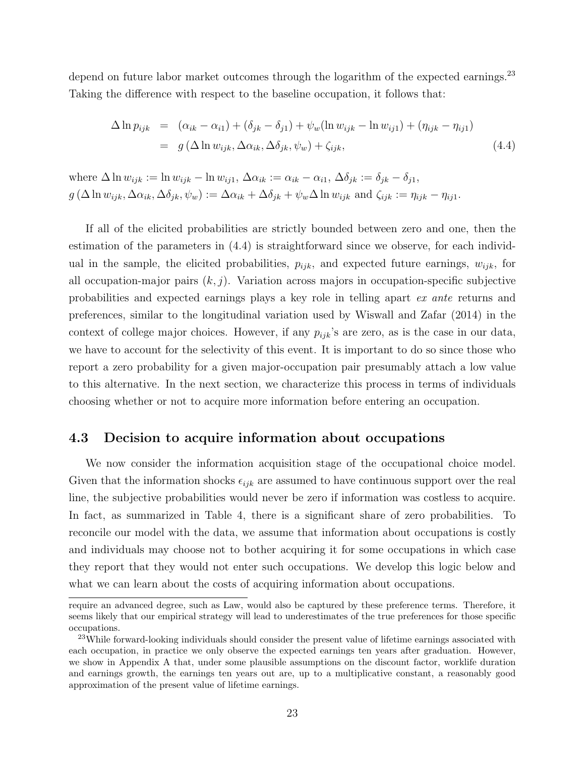depend on future labor market outcomes through the logarithm of the expected earnings.<sup>[23](#page-25-0)</sup> Taking the difference with respect to the baseline occupation, it follows that:

<span id="page-25-1"></span>
$$
\Delta \ln p_{ijk} = (\alpha_{ik} - \alpha_{i1}) + (\delta_{jk} - \delta_{j1}) + \psi_w(\ln w_{ijk} - \ln w_{ij1}) + (\eta_{ijk} - \eta_{ij1})
$$
  
=  $g(\Delta \ln w_{ijk}, \Delta \alpha_{ik}, \Delta \delta_{jk}, \psi_w) + \zeta_{ijk},$  (4.4)

where  $\Delta \ln w_{ijk} := \ln w_{ijk} - \ln w_{ij1}$ ,  $\Delta \alpha_{ik} := \alpha_{ik} - \alpha_{i1}$ ,  $\Delta \delta_{jk} := \delta_{jk} - \delta_{j1}$ ,  $g\left(\Delta \ln w_{ijk}, \Delta \alpha_{ik}, \Delta \delta_{jk}, \psi_w\right) := \Delta \alpha_{ik} + \Delta \delta_{jk} + \psi_w \Delta \ln w_{ijk}$  and  $\zeta_{ijk} := \eta_{ijk} - \eta_{ij1}$ .

If all of the elicited probabilities are strictly bounded between zero and one, then the estimation of the parameters in [\(4.4\)](#page-25-1) is straightforward since we observe, for each individual in the sample, the elicited probabilities,  $p_{ijk}$ , and expected future earnings,  $w_{ijk}$ , for all occupation-major pairs  $(k, j)$ . Variation across majors in occupation-specific subjective probabilities and expected earnings plays a key role in telling apart ex ante returns and preferences, similar to the longitudinal variation used by [Wiswall and Zafar \(2014\)](#page-41-3) in the context of college major choices. However, if any  $p_{ijk}$ 's are zero, as is the case in our data, we have to account for the selectivity of this event. It is important to do so since those who report a zero probability for a given major-occupation pair presumably attach a low value to this alternative. In the next section, we characterize this process in terms of individuals choosing whether or not to acquire more information before entering an occupation.

### 4.3 Decision to acquire information about occupations

We now consider the information acquisition stage of the occupational choice model. Given that the information shocks  $\epsilon_{ijk}$  are assumed to have continuous support over the real line, the subjective probabilities would never be zero if information was costless to acquire. In fact, as summarized in Table [4,](#page-11-0) there is a significant share of zero probabilities. To reconcile our model with the data, we assume that information about occupations is costly and individuals may choose not to bother acquiring it for some occupations in which case they report that they would not enter such occupations. We develop this logic below and what we can learn about the costs of acquiring information about occupations.

require an advanced degree, such as Law, would also be captured by these preference terms. Therefore, it seems likely that our empirical strategy will lead to underestimates of the true preferences for those specific occupations.

<span id="page-25-0"></span><sup>&</sup>lt;sup>23</sup>While forward-looking individuals should consider the present value of lifetime earnings associated with each occupation, in practice we only observe the expected earnings ten years after graduation. However, we show in Appendix [A](#page-42-0) that, under some plausible assumptions on the discount factor, worklife duration and earnings growth, the earnings ten years out are, up to a multiplicative constant, a reasonably good approximation of the present value of lifetime earnings.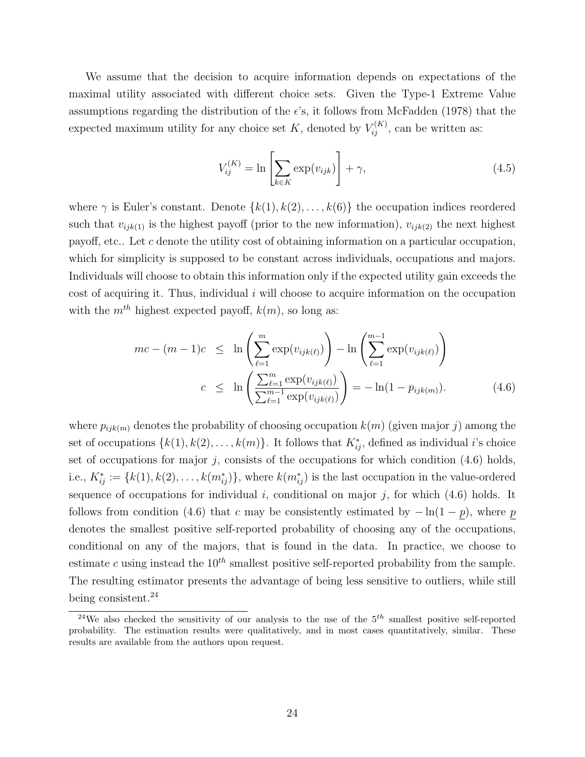We assume that the decision to acquire information depends on expectations of the maximal utility associated with different choice sets. Given the Type-1 Extreme Value assumptions regarding the distribution of the  $\epsilon$ 's, it follows from [McFadden \(1978\)](#page-40-10) that the expected maximum utility for any choice set K, denoted by  $V_{ij}^{(K)}$ , can be written as:

$$
V_{ij}^{(K)} = \ln \left[ \sum_{k \in K} \exp(v_{ijk}) \right] + \gamma,
$$
\n(4.5)

where  $\gamma$  is Euler's constant. Denote  $\{k(1), k(2), \ldots, k(6)\}\)$  the occupation indices reordered such that  $v_{ijk(1)}$  is the highest payoff (prior to the new information),  $v_{ijk(2)}$  the next highest payoff, etc.. Let c denote the utility cost of obtaining information on a particular occupation, which for simplicity is supposed to be constant across individuals, occupations and majors. Individuals will choose to obtain this information only if the expected utility gain exceeds the cost of acquiring it. Thus, individual  $i$  will choose to acquire information on the occupation with the  $m^{th}$  highest expected payoff,  $k(m)$ , so long as:

<span id="page-26-0"></span>
$$
mc - (m - 1)c \leq \ln \left( \sum_{\ell=1}^{m} \exp(v_{ijk(\ell)}) \right) - \ln \left( \sum_{\ell=1}^{m-1} \exp(v_{ijk(\ell)}) \right)
$$

$$
c \leq \ln \left( \frac{\sum_{\ell=1}^{m} \exp(v_{ijk(\ell)})}{\sum_{\ell=1}^{m-1} \exp(v_{ijk(\ell)})} \right) = -\ln(1 - p_{ijk(m)}).
$$
(4.6)

where  $p_{ijk(m)}$  denotes the probability of choosing occupation  $k(m)$  (given major j) among the set of occupations  $\{k(1), k(2), \ldots, k(m)\}$ . It follows that  $K_{ij}^*$ , defined as individual *i*'s choice set of occupations for major j, consists of the occupations for which condition  $(4.6)$  holds, i.e.,  $K_{ij}^* := \{k(1), k(2), \ldots, k(m_{ij}^*)\}$ , where  $k(m_{ij}^*)$  is the last occupation in the value-ordered sequence of occupations for individual  $i$ , conditional on major  $j$ , for which [\(4.6\)](#page-26-0) holds. It follows from condition [\(4.6\)](#page-26-0) that c may be consistently estimated by  $-\ln(1-p)$ , where p denotes the smallest positive self-reported probability of choosing any of the occupations, conditional on any of the majors, that is found in the data. In practice, we choose to estimate c using instead the  $10^{th}$  smallest positive self-reported probability from the sample. The resulting estimator presents the advantage of being less sensitive to outliers, while still being consistent.<sup>[24](#page-26-1)</sup>

<span id="page-26-1"></span><sup>&</sup>lt;sup>24</sup>We also checked the sensitivity of our analysis to the use of the  $5<sup>th</sup>$  smallest positive self-reported probability. The estimation results were qualitatively, and in most cases quantitatively, similar. These results are available from the authors upon request.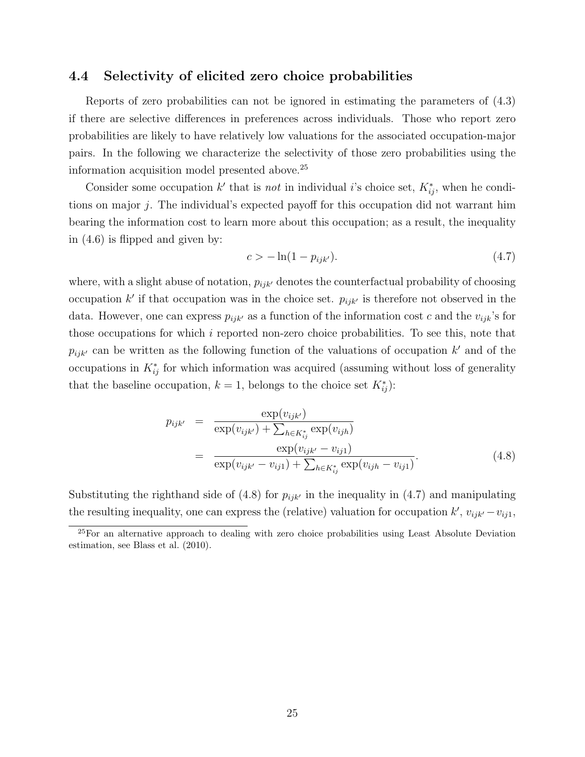### 4.4 Selectivity of elicited zero choice probabilities

Reports of zero probabilities can not be ignored in estimating the parameters of [\(4.3\)](#page-24-1) if there are selective differences in preferences across individuals. Those who report zero probabilities are likely to have relatively low valuations for the associated occupation-major pairs. In the following we characterize the selectivity of those zero probabilities using the information acquisition model presented above.[25](#page-27-0)

Consider some occupation k' that is *not* in individual i's choice set,  $K_{ij}^*$ , when he conditions on major j. The individual's expected payoff for this occupation did not warrant him bearing the information cost to learn more about this occupation; as a result, the inequality in [\(4.6\)](#page-26-0) is flipped and given by:

<span id="page-27-2"></span>
$$
c > -\ln(1 - p_{ijk'}). \t\t(4.7)
$$

where, with a slight abuse of notation,  $p_{ijk'}$  denotes the counterfactual probability of choosing occupation k' if that occupation was in the choice set.  $p_{ijk'}$  is therefore not observed in the data. However, one can express  $p_{ijk'}$  as a function of the information cost c and the  $v_{ijk}$ 's for those occupations for which i reported non-zero choice probabilities. To see this, note that  $p_{ijk}$  can be written as the following function of the valuations of occupation k' and of the occupations in  $K_{ij}^*$  for which information was acquired (assuming without loss of generality that the baseline occupation,  $k = 1$ , belongs to the choice set  $K_{ij}^*$ :

<span id="page-27-1"></span>
$$
p_{ijk'} = \frac{\exp(v_{ijk'})}{\exp(v_{ijk'}) + \sum_{h \in K_{ij}^*} \exp(v_{ijh})}
$$
  
= 
$$
\frac{\exp(v_{ijk'} - v_{ij1})}{\exp(v_{ijk'} - v_{ij1}) + \sum_{h \in K_{ij}^*} \exp(v_{ijh} - v_{ij1})}.
$$
 (4.8)

Substituting the righthand side of [\(4.8\)](#page-27-1) for  $p_{ijk'}$  in the inequality in [\(4.7\)](#page-27-2) and manipulating the resulting inequality, one can express the (relative) valuation for occupation  $k'$ ,  $v_{ijk'} - v_{ij1}$ ,

<span id="page-27-0"></span> $25$ For an alternative approach to dealing with zero choice probabilities using Least Absolute Deviation estimation, see [Blass et al.](#page-38-4) [\(2010\)](#page-38-4).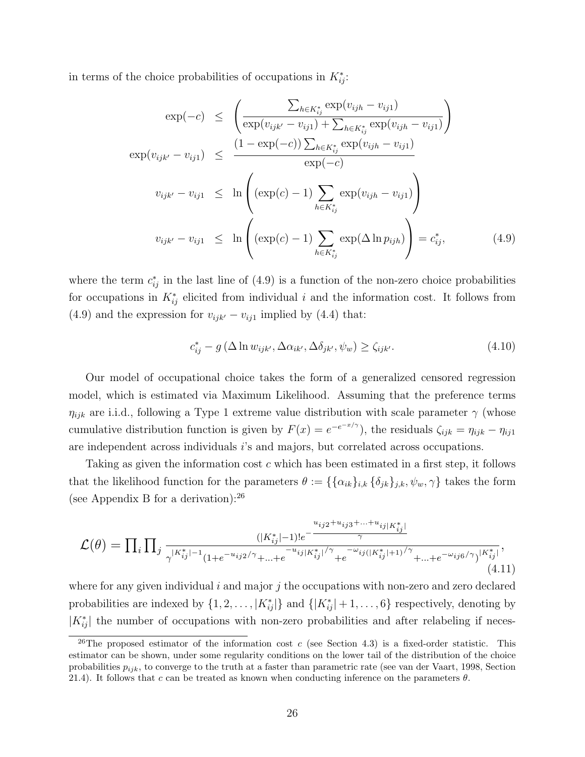in terms of the choice probabilities of occupations in  $K_{ij}^*$ :

<span id="page-28-0"></span>
$$
\exp(-c) \leq \left(\frac{\sum_{h \in K_{ij}^*} \exp(v_{ijh} - v_{ij1})}{\exp(v_{ijk'} - v_{ij1}) + \sum_{h \in K_{ij}^*} \exp(v_{ijh} - v_{ij1})}\right)
$$

$$
\exp(v_{ijk'} - v_{ij1}) \leq \frac{(1 - \exp(-c)) \sum_{h \in K_{ij}^*} \exp(v_{ijh} - v_{ij1})}{\exp(-c)}
$$

$$
v_{ijk'} - v_{ij1} \leq \ln\left((\exp(c) - 1) \sum_{h \in K_{ij}^*} \exp(v_{ijh} - v_{ij1})\right)
$$

$$
v_{ijk'} - v_{ij1} \leq \ln\left((\exp(c) - 1) \sum_{h \in K_{ij}^*} \exp(\Delta \ln p_{ijh})\right) = c_{ij}^*,
$$
(4.9)

where the term  $c_{ij}^*$  in the last line of [\(4.9\)](#page-28-0) is a function of the non-zero choice probabilities for occupations in  $K_{ij}^*$  elicited from individual i and the information cost. It follows from [\(4.9\)](#page-28-0) and the expression for  $v_{ijk'} - v_{ij1}$  implied by [\(4.4\)](#page-25-1) that:

$$
c_{ij}^* - g\left(\Delta \ln w_{ijk'}, \Delta \alpha_{ik'}, \Delta \delta_{jk'}, \psi_w\right) \ge \zeta_{ijk'}.\tag{4.10}
$$

Our model of occupational choice takes the form of a generalized censored regression model, which is estimated via Maximum Likelihood. Assuming that the preference terms  $\eta_{ijk}$  are i.i.d., following a Type 1 extreme value distribution with scale parameter  $\gamma$  (whose cumulative distribution function is given by  $F(x) = e^{-e^{-x/\gamma}}$ , the residuals  $\zeta_{ijk} = \eta_{ijk} - \eta_{ij}$ are independent across individuals i's and majors, but correlated across occupations.

Taking as given the information cost c which has been estimated in a first step, it follows that the likelihood function for the parameters  $\theta := \{\{\alpha_{ik}\}_{i,k} \{\delta_{jk}\}_{j,k}, \psi_w, \gamma\}$  takes the form (see Appendix [B](#page-43-0) for a derivation):  $26$ 

<span id="page-28-2"></span>
$$
\mathcal{L}(\theta) = \prod_{i} \prod_{j} \frac{(|K_{ij}^*|-1)! e^{-\frac{u_{ij}^* + \dots + u_{ij}|K_{ij}^*|}{\gamma}}}{\gamma^{|K_{ij}^*|-1} (1 + e^{-u_{ij}^* \gamma} + \dots + e^{-u_{ij}|K_{ij}^*| / \gamma} + e^{-\omega_{ij}(|K_{ij}^*|+1) / \gamma} + \dots + e^{-\omega_{ij}^* \theta / \gamma} |K_{ij}^*|},
$$
\n(4.11)

where for any given individual i and major j the occupations with non-zero and zero declared probabilities are indexed by  $\{1, 2, \ldots, |K_{ij}^*|\}$  and  $\{|K_{ij}^*| + 1, \ldots, 6\}$  respectively, denoting by  $|K_{ij}^*|$  the number of occupations with non-zero probabilities and after relabeling if neces-

<span id="page-28-1"></span><sup>&</sup>lt;sup>26</sup>The proposed estimator of the information cost c (see Section 4.3) is a fixed-order statistic. This estimator can be shown, under some regularity conditions on the lower tail of the distribution of the choice probabilities  $p_{ijk}$ , to converge to the truth at a faster than parametric rate (see [van der Vaart,](#page-41-4) 1998, Section 21.4). It follows that c can be treated as known when conducting inference on the parameters  $\theta$ .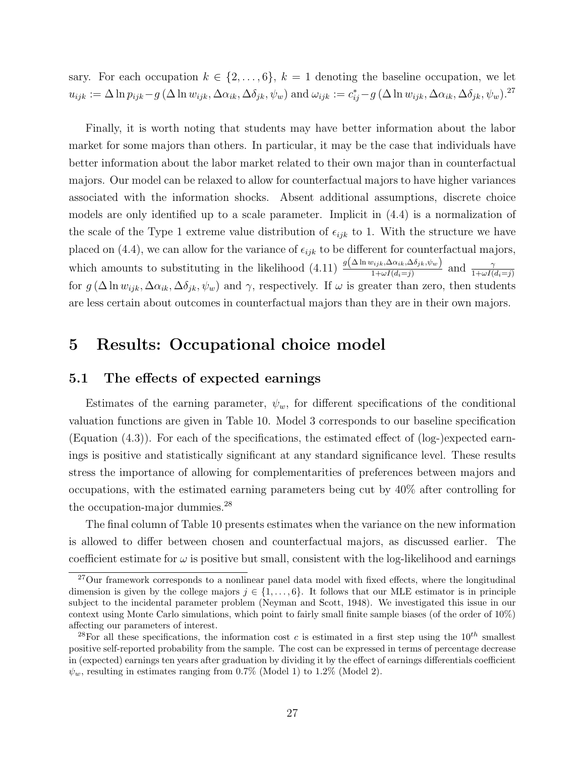sary. For each occupation  $k \in \{2, \ldots, 6\}$ ,  $k = 1$  denoting the baseline occupation, we let  $u_{ijk} := \Delta \ln p_{ijk} - g \left(\Delta \ln w_{ijk}, \Delta \alpha_{ik}, \Delta \delta_{jk}, \psi_w\right)$  and  $\omega_{ijk} := c_{ij}^* - g \left(\Delta \ln w_{ijk}, \Delta \alpha_{ik}, \Delta \delta_{jk}, \psi_w\right)$ .<sup>[27](#page-29-1)</sup>

Finally, it is worth noting that students may have better information about the labor market for some majors than others. In particular, it may be the case that individuals have better information about the labor market related to their own major than in counterfactual majors. Our model can be relaxed to allow for counterfactual majors to have higher variances associated with the information shocks. Absent additional assumptions, discrete choice models are only identified up to a scale parameter. Implicit in [\(4.4\)](#page-25-1) is a normalization of the scale of the Type 1 extreme value distribution of  $\epsilon_{ijk}$  to 1. With the structure we have placed on [\(4.4\)](#page-25-1), we can allow for the variance of  $\epsilon_{ijk}$  to be different for counterfactual majors, which amounts to substituting in the likelihood [\(4.11\)](#page-28-2)  $\frac{g(\Delta \ln w_{ijk}, \Delta \alpha_{ik}, \Delta \delta_{jk}, \psi_w)}{1 + \omega I(d_i = j)}$  and  $\frac{\gamma}{1 + \omega I(d_i = j)}$ for  $g(\Delta \ln w_{ijk}, \Delta \alpha_{ik}, \Delta \delta_{jk}, \psi_w)$  and  $\gamma$ , respectively. If  $\omega$  is greater than zero, then students are less certain about outcomes in counterfactual majors than they are in their own majors.

### <span id="page-29-0"></span>5 Results: Occupational choice model

### 5.1 The effects of expected earnings

Estimates of the earning parameter,  $\psi_w$ , for different specifications of the conditional valuation functions are given in Table [10.](#page-31-0) Model 3 corresponds to our baseline specification (Equation  $(4.3)$ ). For each of the specifications, the estimated effect of  $(log$ -)expected earnings is positive and statistically significant at any standard significance level. These results stress the importance of allowing for complementarities of preferences between majors and occupations, with the estimated earning parameters being cut by 40% after controlling for the occupation-major dummies.[28](#page-29-2)

The final column of Table [10](#page-31-0) presents estimates when the variance on the new information is allowed to differ between chosen and counterfactual majors, as discussed earlier. The coefficient estimate for  $\omega$  is positive but small, consistent with the log-likelihood and earnings

<span id="page-29-1"></span><sup>&</sup>lt;sup>27</sup>Our framework corresponds to a nonlinear panel data model with fixed effects, where the longitudinal dimension is given by the college majors  $j \in \{1, \ldots, 6\}$ . It follows that our MLE estimator is in principle subject to the incidental parameter problem [\(Neyman and Scott,](#page-40-11) 1948). We investigated this issue in our context using Monte Carlo simulations, which point to fairly small finite sample biases (of the order of 10%) affecting our parameters of interest.

<span id="page-29-2"></span><sup>&</sup>lt;sup>28</sup>For all these specifications, the information cost c is estimated in a first step using the  $10^{th}$  smallest positive self-reported probability from the sample. The cost can be expressed in terms of percentage decrease in (expected) earnings ten years after graduation by dividing it by the effect of earnings differentials coefficient  $\psi_w$ , resulting in estimates ranging from 0.7% (Model 1) to 1.2% (Model 2).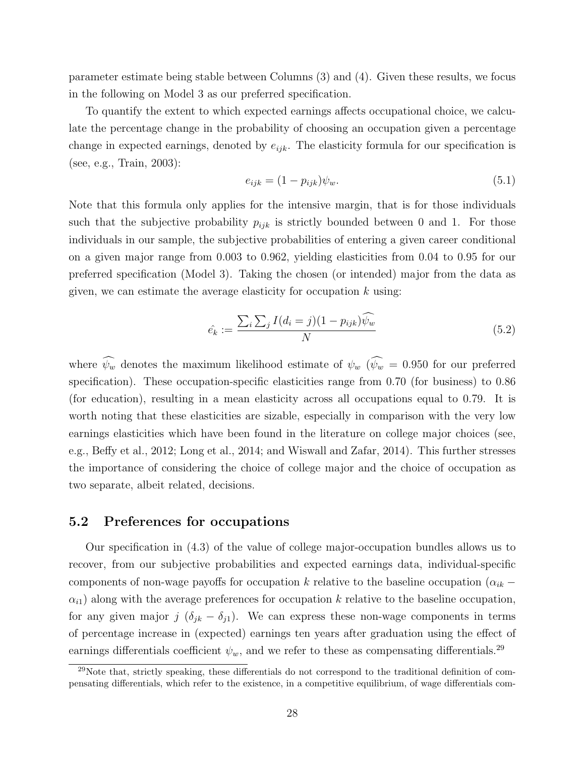parameter estimate being stable between Columns (3) and (4). Given these results, we focus in the following on Model 3 as our preferred specification.

To quantify the extent to which expected earnings affects occupational choice, we calculate the percentage change in the probability of choosing an occupation given a percentage change in expected earnings, denoted by  $e_{ijk}$ . The elasticity formula for our specification is (see, e.g., [Train,](#page-40-12) 2003):

$$
e_{ijk} = (1 - p_{ijk})\psi_w.
$$
\n
$$
(5.1)
$$

Note that this formula only applies for the intensive margin, that is for those individuals such that the subjective probability  $p_{ijk}$  is strictly bounded between 0 and 1. For those individuals in our sample, the subjective probabilities of entering a given career conditional on a given major range from 0.003 to 0.962, yielding elasticities from 0.04 to 0.95 for our preferred specification (Model 3). Taking the chosen (or intended) major from the data as given, we can estimate the average elasticity for occupation  $k$  using:

$$
\hat{e_k} := \frac{\sum_i \sum_j I(d_i = j)(1 - p_{ijk}) \widehat{\psi_w}}{N} \tag{5.2}
$$

where  $\widehat{\psi_w}$  denotes the maximum likelihood estimate of  $\psi_w$  ( $\widehat{\psi_w}$  = 0.950 for our preferred specification). These occupation-specific elasticities range from 0.70 (for business) to 0.86 (for education), resulting in a mean elasticity across all occupations equal to 0.79. It is worth noting that these elasticities are sizable, especially in comparison with the very low earnings elasticities which have been found in the literature on college major choices (see, e.g., [Beffy et al.,](#page-38-11) 2012; [Long et al.,](#page-40-5) 2014; and [Wiswall and Zafar,](#page-41-3) 2014). This further stresses the importance of considering the choice of college major and the choice of occupation as two separate, albeit related, decisions.

### 5.2 Preferences for occupations

Our specification in [\(4.3\)](#page-24-1) of the value of college major-occupation bundles allows us to recover, from our subjective probabilities and expected earnings data, individual-specific components of non-wage payoffs for occupation k relative to the baseline occupation ( $\alpha_{ik}$  –  $\alpha_{i1}$ ) along with the average preferences for occupation k relative to the baseline occupation, for any given major j  $(\delta_{jk} - \delta_{j1})$ . We can express these non-wage components in terms of percentage increase in (expected) earnings ten years after graduation using the effect of earnings differentials coefficient  $\psi_w$ , and we refer to these as compensating differentials.<sup>[29](#page-30-0)</sup>

<span id="page-30-0"></span><sup>&</sup>lt;sup>29</sup>Note that, strictly speaking, these differentials do not correspond to the traditional definition of compensating differentials, which refer to the existence, in a competitive equilibrium, of wage differentials com-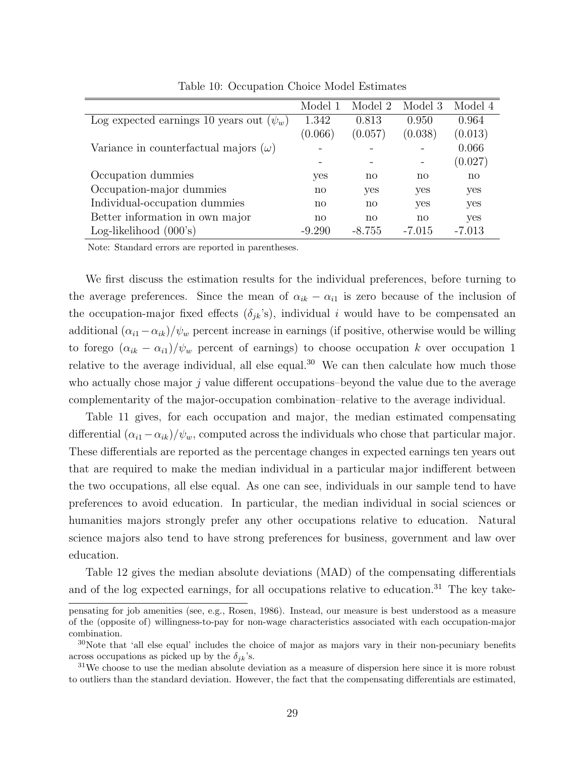|                                               | Model 1      | Model 2  | Model 3                | Model 4      |
|-----------------------------------------------|--------------|----------|------------------------|--------------|
| Log expected earnings 10 years out $(\psi_w)$ | 1.342        | 0.813    | 0.950                  | 0.964        |
|                                               | (0.066)      | (0.057)  | (0.038)                | (0.013)      |
| Variance in counterfactual majors $(\omega)$  |              |          |                        | 0.066        |
|                                               |              |          |                        | (0.027)      |
| Occupation dummies                            | yes          | no       | no                     | $\mathbf{n}$ |
| Occupation-major dummies                      | $\mathbf{n}$ | yes      | yes                    | yes          |
| Individual-occupation dummies                 | no           | no       | yes                    | yes          |
| Better information in own major               | no           | no       | $\mathbf{n}\mathbf{o}$ | yes          |
| Log-likelihood $(000's)$                      | $-9.290$     | $-8.755$ | $-7.015$               | $-7.013$     |

<span id="page-31-0"></span>Table 10: Occupation Choice Model Estimates

Note: Standard errors are reported in parentheses.

We first discuss the estimation results for the individual preferences, before turning to the average preferences. Since the mean of  $\alpha_{ik} - \alpha_{i1}$  is zero because of the inclusion of the occupation-major fixed effects  $(\delta_{ik}^{\prime}s)$ , individual i would have to be compensated an additional  $(\alpha_{i1} - \alpha_{ik})/\psi_w$  percent increase in earnings (if positive, otherwise would be willing to forego  $(\alpha_{ik} - \alpha_{i1})/\psi_w$  percent of earnings) to choose occupation k over occupation 1 relative to the average individual, all else equal.<sup>[30](#page-31-1)</sup> We can then calculate how much those who actually chose major  $j$  value different occupations–beyond the value due to the average complementarity of the major-occupation combination–relative to the average individual.

Table [11](#page-32-0) gives, for each occupation and major, the median estimated compensating differential  $(\alpha_{i1}-\alpha_{ik})/\psi_w$ , computed across the individuals who chose that particular major. These differentials are reported as the percentage changes in expected earnings ten years out that are required to make the median individual in a particular major indifferent between the two occupations, all else equal. As one can see, individuals in our sample tend to have preferences to avoid education. In particular, the median individual in social sciences or humanities majors strongly prefer any other occupations relative to education. Natural science majors also tend to have strong preferences for business, government and law over education.

Table [12](#page-32-1) gives the median absolute deviations (MAD) of the compensating differentials and of the log expected earnings, for all occupations relative to education.<sup>[31](#page-31-2)</sup> The key take-

pensating for job amenities (see, e.g., [Rosen,](#page-40-13) 1986). Instead, our measure is best understood as a measure of the (opposite of) willingness-to-pay for non-wage characteristics associated with each occupation-major combination.

<span id="page-31-1"></span><sup>&</sup>lt;sup>30</sup>Note that 'all else equal' includes the choice of major as majors vary in their non-pecuniary benefits across occupations as picked up by the  $\delta_{ik}$ 's.

<span id="page-31-2"></span> $31\text{We choose to use the median absolute deviation as a measure of dispersion here since it is more robust.}$ to outliers than the standard deviation. However, the fact that the compensating differentials are estimated,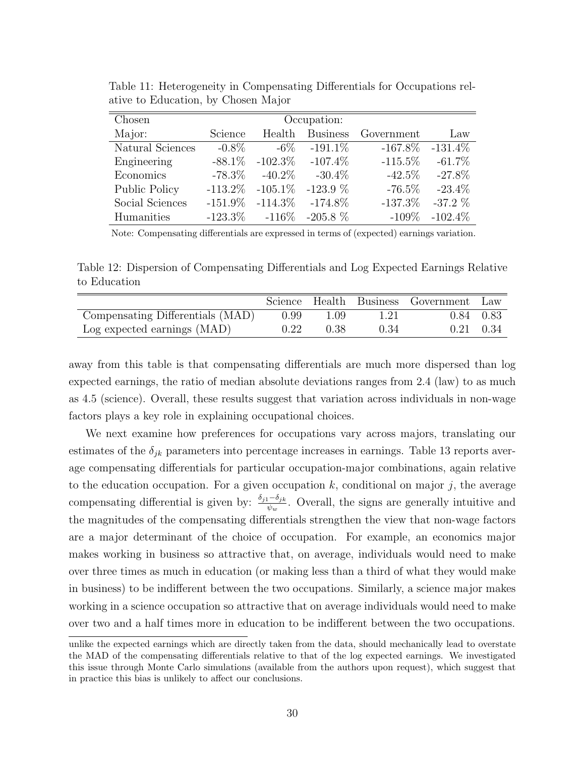| Chosen           | Occupation: |                       |            |                     |            |  |  |  |  |
|------------------|-------------|-----------------------|------------|---------------------|------------|--|--|--|--|
| Major:           | Science     | Health                |            | Business Government | Law        |  |  |  |  |
| Natural Sciences | $-0.8\%$    | $-6\%$                | $-191.1\%$ | $-167.8\%$          | $-131.4\%$ |  |  |  |  |
| Engineering      | $-88.1\%$   | $-102.3\%$ $-107.4\%$ |            | $-115.5\%$          | $-61.7\%$  |  |  |  |  |
| Economics        | $-78.3\%$   | $-40.2\%$             | $-30.4\%$  | $-42.5\%$           | $-27.8\%$  |  |  |  |  |
| Public Policy    |             | $-113.2\%$ $-105.1\%$ | $-123.9\%$ | $-76.5\%$           | $-23.4\%$  |  |  |  |  |
| Social Sciences  |             | $-151.9\%$ $-114.3\%$ | $-174.8\%$ | $-137.3\%$          | $-37.2\%$  |  |  |  |  |
| Humanities       |             | $-123.3\% -116\%$     | $-205.8\%$ | $-109\%$            | $-102.4\%$ |  |  |  |  |

<span id="page-32-0"></span>Table 11: Heterogeneity in Compensating Differentials for Occupations relative to Education, by Chosen Major

<span id="page-32-1"></span>Note: Compensating differentials are expressed in terms of (expected) earnings variation.

Table 12: Dispersion of Compensating Differentials and Log Expected Earnings Relative to Education

|                                  |      |      |      | Science Health Business Government Law |  |
|----------------------------------|------|------|------|----------------------------------------|--|
| Compensating Differentials (MAD) | 0.99 | 1.09 |      | 0.84 0.83                              |  |
| Log expected earnings (MAD)      | 0.22 | 0.38 | 0.34 | $0.21$ $0.34$                          |  |

away from this table is that compensating differentials are much more dispersed than log expected earnings, the ratio of median absolute deviations ranges from 2.4 (law) to as much as 4.5 (science). Overall, these results suggest that variation across individuals in non-wage factors plays a key role in explaining occupational choices.

We next examine how preferences for occupations vary across majors, translating our estimates of the  $\delta_{ik}$  parameters into percentage increases in earnings. Table [13](#page-34-0) reports average compensating differentials for particular occupation-major combinations, again relative to the education occupation. For a given occupation k, conditional on major j, the average compensating differential is given by:  $\frac{\delta_{j1}-\delta_{jk}}{\psi_w}$ . Overall, the signs are generally intuitive and the magnitudes of the compensating differentials strengthen the view that non-wage factors are a major determinant of the choice of occupation. For example, an economics major makes working in business so attractive that, on average, individuals would need to make over three times as much in education (or making less than a third of what they would make in business) to be indifferent between the two occupations. Similarly, a science major makes working in a science occupation so attractive that on average individuals would need to make over two and a half times more in education to be indifferent between the two occupations.

unlike the expected earnings which are directly taken from the data, should mechanically lead to overstate the MAD of the compensating differentials relative to that of the log expected earnings. We investigated this issue through Monte Carlo simulations (available from the authors upon request), which suggest that in practice this bias is unlikely to affect our conclusions.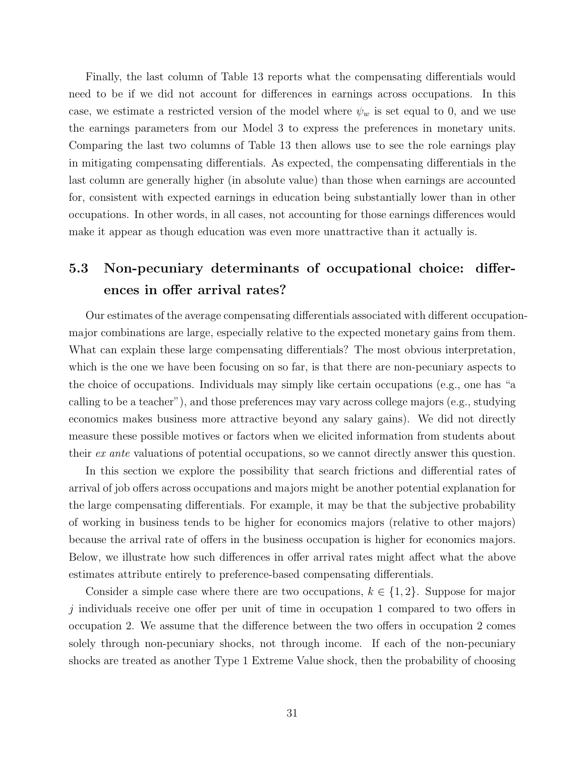Finally, the last column of Table [13](#page-34-0) reports what the compensating differentials would need to be if we did not account for differences in earnings across occupations. In this case, we estimate a restricted version of the model where  $\psi_w$  is set equal to 0, and we use the earnings parameters from our Model 3 to express the preferences in monetary units. Comparing the last two columns of Table [13](#page-34-0) then allows use to see the role earnings play in mitigating compensating differentials. As expected, the compensating differentials in the last column are generally higher (in absolute value) than those when earnings are accounted for, consistent with expected earnings in education being substantially lower than in other occupations. In other words, in all cases, not accounting for those earnings differences would make it appear as though education was even more unattractive than it actually is.

## 5.3 Non-pecuniary determinants of occupational choice: differences in offer arrival rates?

Our estimates of the average compensating differentials associated with different occupationmajor combinations are large, especially relative to the expected monetary gains from them. What can explain these large compensating differentials? The most obvious interpretation, which is the one we have been focusing on so far, is that there are non-pecuniary aspects to the choice of occupations. Individuals may simply like certain occupations (e.g., one has "a calling to be a teacher"), and those preferences may vary across college majors (e.g., studying economics makes business more attractive beyond any salary gains). We did not directly measure these possible motives or factors when we elicited information from students about their ex ante valuations of potential occupations, so we cannot directly answer this question.

In this section we explore the possibility that search frictions and differential rates of arrival of job offers across occupations and majors might be another potential explanation for the large compensating differentials. For example, it may be that the subjective probability of working in business tends to be higher for economics majors (relative to other majors) because the arrival rate of offers in the business occupation is higher for economics majors. Below, we illustrate how such differences in offer arrival rates might affect what the above estimates attribute entirely to preference-based compensating differentials.

Consider a simple case where there are two occupations,  $k \in \{1, 2\}$ . Suppose for major  $j$  individuals receive one offer per unit of time in occupation 1 compared to two offers in occupation 2. We assume that the difference between the two offers in occupation 2 comes solely through non-pecuniary shocks, not through income. If each of the non-pecuniary shocks are treated as another Type 1 Extreme Value shock, then the probability of choosing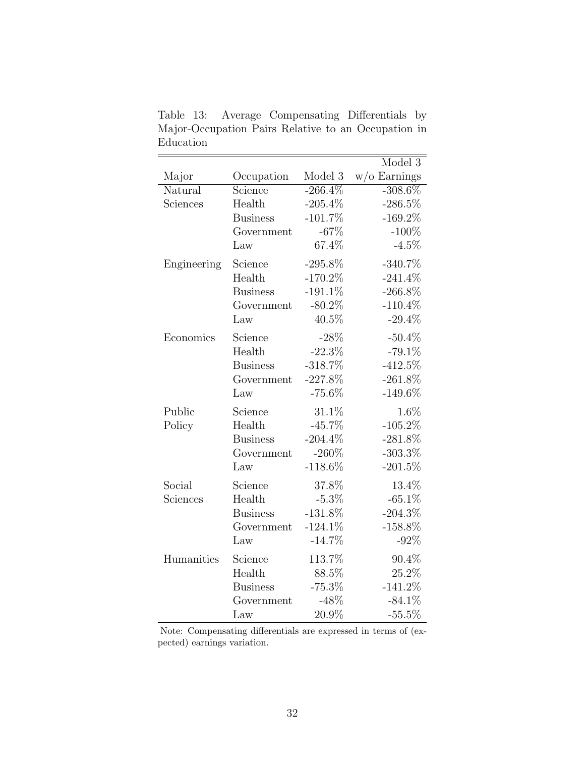<span id="page-34-0"></span>Table 13: Average Compensating Differentials by Major-Occupation Pairs Relative to an Occupation in Education

|             |                 |            | Model 3         |  |
|-------------|-----------------|------------|-----------------|--|
| Major       | Occupation      | Model 3    | $w$ /o Earnings |  |
| Natural     | Science         | $-266.4\%$ | $-308.6\%$      |  |
| Sciences    | Health          | $-205.4%$  | $-286.5%$       |  |
|             | <b>Business</b> | $-101.7%$  | $-169.2%$       |  |
|             | Government      | $-67%$     | $-100%$         |  |
|             | Law             | 67.4%      | $-4.5\%$        |  |
| Engineering | Science         | $-295.8\%$ | $-340.7%$       |  |
|             | Health          | $-170.2%$  | $-241.4\%$      |  |
|             | <b>Business</b> | $-191.1\%$ | $-266.8\%$      |  |
|             | Government      | $-80.2\%$  | $-110.4\%$      |  |
|             | Law             | $40.5\%$   | $-29.4\%$       |  |
| Economics   | Science         | $-28%$     | $-50.4%$        |  |
|             | Health          | $-22.3%$   | $-79.1\%$       |  |
|             | <b>Business</b> | $-318.7%$  | $-412.5%$       |  |
|             | Government      | $-227.8%$  | $-261.8\%$      |  |
|             | Law             | $-75.6%$   | $-149.6\%$      |  |
| Public      | Science         | 31.1%      | 1.6%            |  |
| Policy      | Health          | $-45.7%$   | $-105.2%$       |  |
|             | <b>Business</b> | $-204.4\%$ | $-281.8%$       |  |
|             | Government      | $-260%$    | $-303.3%$       |  |
|             | Law             | $-118.6%$  | $-201.5%$       |  |
| Social      | Science         | 37.8%      | 13.4%           |  |
| Sciences    | Health          | $-5.3\%$   | $-65.1\%$       |  |
|             | <b>Business</b> | $-131.8%$  | $-204.3\%$      |  |
|             | Government      | $-124.1\%$ | $-158.8\%$      |  |
|             | Law             | $-14.7%$   | $-92%$          |  |
| Humanities  | Science         | 113.7%     | 90.4%           |  |
|             | Health          | 88.5%      | 25.2%           |  |
|             | <b>Business</b> | $-75.3%$   | $-141.2\%$      |  |
|             | Government      | $-48\%$    | $-84.1\%$       |  |
|             | Law             | 20.9%      | $-55.5\%$       |  |

Note: Compensating differentials are expressed in terms of (expected) earnings variation.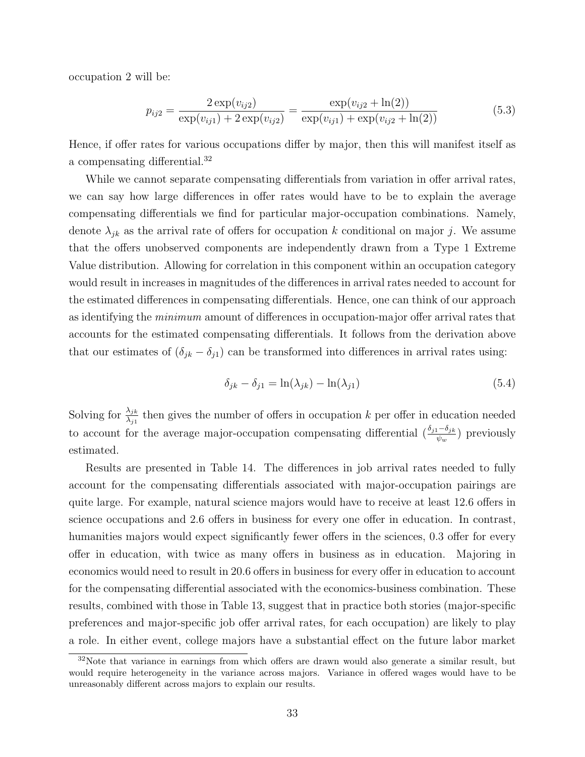occupation 2 will be:

$$
p_{ij2} = \frac{2 \exp(v_{ij2})}{\exp(v_{ij1}) + 2 \exp(v_{ij2})} = \frac{\exp(v_{ij2} + \ln(2))}{\exp(v_{ij1}) + \exp(v_{ij2} + \ln(2))}
$$
(5.3)

Hence, if offer rates for various occupations differ by major, then this will manifest itself as a compensating differential.[32](#page-35-0)

While we cannot separate compensating differentials from variation in offer arrival rates, we can say how large differences in offer rates would have to be to explain the average compensating differentials we find for particular major-occupation combinations. Namely, denote  $\lambda_{jk}$  as the arrival rate of offers for occupation k conditional on major j. We assume that the offers unobserved components are independently drawn from a Type 1 Extreme Value distribution. Allowing for correlation in this component within an occupation category would result in increases in magnitudes of the differences in arrival rates needed to account for the estimated differences in compensating differentials. Hence, one can think of our approach as identifying the minimum amount of differences in occupation-major offer arrival rates that accounts for the estimated compensating differentials. It follows from the derivation above that our estimates of  $(\delta_{jk} - \delta_{j1})$  can be transformed into differences in arrival rates using:

$$
\delta_{jk} - \delta_{j1} = \ln(\lambda_{jk}) - \ln(\lambda_{j1})\tag{5.4}
$$

Solving for  $\frac{\lambda_{jk}}{\lambda_{j1}}$  then gives the number of offers in occupation k per offer in education needed to account for the average major-occupation compensating differential  $\left(\frac{\delta_{j1}-\delta_{jk}}{\psi_w}\right)$  previously estimated.

Results are presented in Table [14.](#page-36-1) The differences in job arrival rates needed to fully account for the compensating differentials associated with major-occupation pairings are quite large. For example, natural science majors would have to receive at least 12.6 offers in science occupations and 2.6 offers in business for every one offer in education. In contrast, humanities majors would expect significantly fewer offers in the sciences, 0.3 offer for every offer in education, with twice as many offers in business as in education. Majoring in economics would need to result in 20.6 offers in business for every offer in education to account for the compensating differential associated with the economics-business combination. These results, combined with those in Table [13,](#page-34-0) suggest that in practice both stories (major-specific preferences and major-specific job offer arrival rates, for each occupation) are likely to play a role. In either event, college majors have a substantial effect on the future labor market

<span id="page-35-0"></span> $32\text{Note that variance in earnings from which offers are drawn would also generate a similar result, but}$ would require heterogeneity in the variance across majors. Variance in offered wages would have to be unreasonably different across majors to explain our results.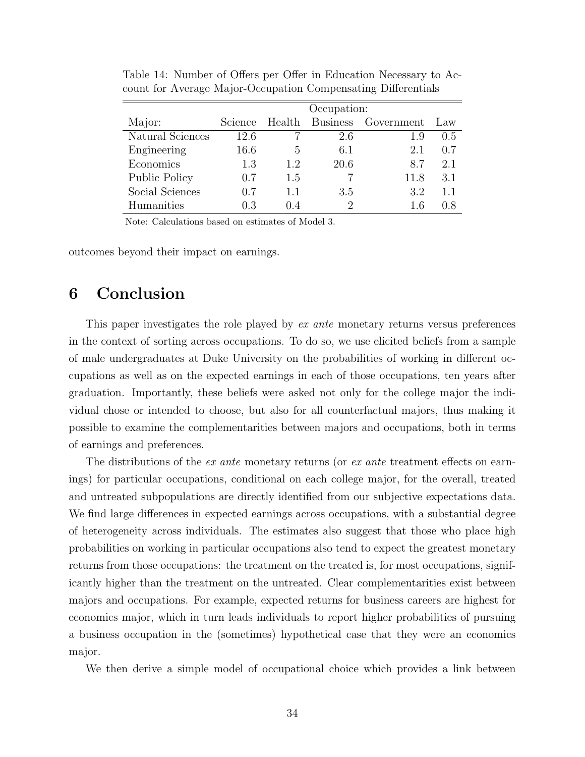|                  | Occupation:    |     |      |                            |     |  |
|------------------|----------------|-----|------|----------------------------|-----|--|
| Major:           | <b>Science</b> |     |      | Health Business Government | Law |  |
| Natural Sciences | 12.6           |     | 2.6  | 1.9                        | 0.5 |  |
| Engineering      | 16.6           | 5   | 6.1  | 2.1                        | 0.7 |  |
| Economics        | 1.3            | 1.2 | 20.6 | 8.7                        | 2.1 |  |
| Public Policy    | 0.7            | 1.5 |      | 11.8                       | 3.1 |  |
| Social Sciences  | 0.7            | 1.1 | 3.5  | 3.2                        | 1.1 |  |
| Humanities       | 0.3            | 04  |      | 1.6                        | 0.8 |  |

<span id="page-36-1"></span>Table 14: Number of Offers per Offer in Education Necessary to Account for Average Major-Occupation Compensating Differentials

Note: Calculations based on estimates of Model 3.

outcomes beyond their impact on earnings.

## <span id="page-36-0"></span>6 Conclusion

This paper investigates the role played by ex ante monetary returns versus preferences in the context of sorting across occupations. To do so, we use elicited beliefs from a sample of male undergraduates at Duke University on the probabilities of working in different occupations as well as on the expected earnings in each of those occupations, ten years after graduation. Importantly, these beliefs were asked not only for the college major the individual chose or intended to choose, but also for all counterfactual majors, thus making it possible to examine the complementarities between majors and occupations, both in terms of earnings and preferences.

The distributions of the ex ante monetary returns (or ex ante treatment effects on earnings) for particular occupations, conditional on each college major, for the overall, treated and untreated subpopulations are directly identified from our subjective expectations data. We find large differences in expected earnings across occupations, with a substantial degree of heterogeneity across individuals. The estimates also suggest that those who place high probabilities on working in particular occupations also tend to expect the greatest monetary returns from those occupations: the treatment on the treated is, for most occupations, significantly higher than the treatment on the untreated. Clear complementarities exist between majors and occupations. For example, expected returns for business careers are highest for economics major, which in turn leads individuals to report higher probabilities of pursuing a business occupation in the (sometimes) hypothetical case that they were an economics major.

We then derive a simple model of occupational choice which provides a link between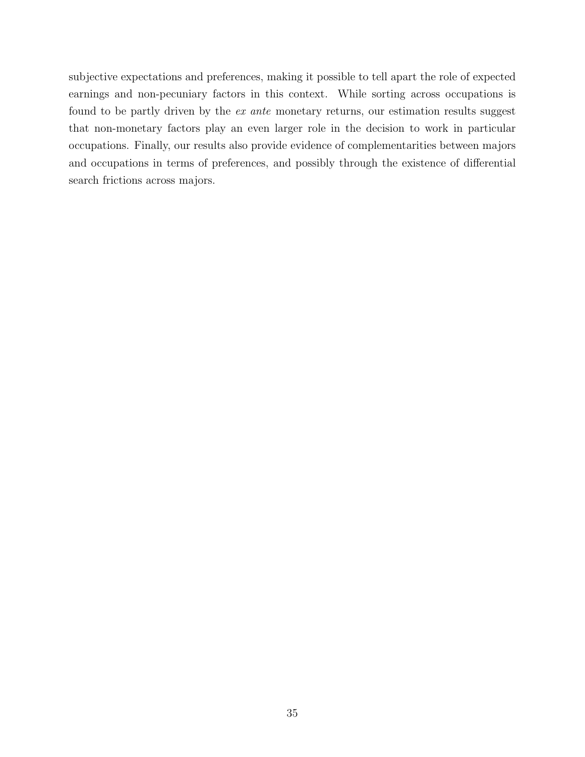subjective expectations and preferences, making it possible to tell apart the role of expected earnings and non-pecuniary factors in this context. While sorting across occupations is found to be partly driven by the *ex ante* monetary returns, our estimation results suggest that non-monetary factors play an even larger role in the decision to work in particular occupations. Finally, our results also provide evidence of complementarities between majors and occupations in terms of preferences, and possibly through the existence of differential search frictions across majors.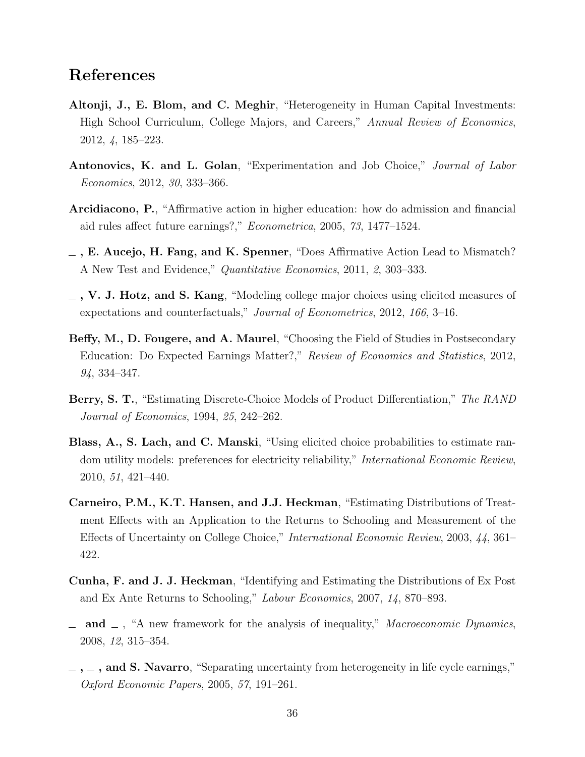## References

- <span id="page-38-6"></span>Altonji, J., E. Blom, and C. Meghir, "Heterogeneity in Human Capital Investments: High School Curriculum, College Majors, and Careers," Annual Review of Economics, 2012, 4, 185–223.
- <span id="page-38-7"></span>Antonovics, K. and L. Golan, "Experimentation and Job Choice," Journal of Labor Economics, 2012, 30, 333–366.
- <span id="page-38-10"></span>Arcidiacono, P., "Affirmative action in higher education: how do admission and financial aid rules affect future earnings?," Econometrica, 2005, 73, 1477–1524.
- <span id="page-38-9"></span> $\overline{\phantom{a}}$ , E. Aucejo, H. Fang, and K. Spenner, "Does Affirmative Action Lead to Mismatch? A New Test and Evidence," Quantitative Economics, 2011, 2, 303–333.
- <span id="page-38-5"></span> $_$ , V. J. Hotz, and S. Kang, "Modeling college major choices using elicited measures of expectations and counterfactuals," Journal of Econometrics, 2012, 166, 3–16.
- <span id="page-38-11"></span>Beffy, M., D. Fougere, and A. Maurel, "Choosing the Field of Studies in Postsecondary Education: Do Expected Earnings Matter?," Review of Economics and Statistics, 2012, 94, 334–347.
- <span id="page-38-8"></span>Berry, S. T., "Estimating Discrete-Choice Models of Product Differentiation," The RAND Journal of Economics, 1994, 25, 242–262.
- <span id="page-38-4"></span>Blass, A., S. Lach, and C. Manski, "Using elicited choice probabilities to estimate random utility models: preferences for electricity reliability," International Economic Review, 2010, 51, 421–440.
- <span id="page-38-0"></span>Carneiro, P.M., K.T. Hansen, and J.J. Heckman, "Estimating Distributions of Treatment Effects with an Application to the Returns to Schooling and Measurement of the Effects of Uncertainty on College Choice," International Economic Review, 2003, 44, 361– 422.
- <span id="page-38-2"></span>Cunha, F. and J. J. Heckman, "Identifying and Estimating the Distributions of Ex Post and Ex Ante Returns to Schooling," Labour Economics, 2007, 14, 870–893.
- <span id="page-38-3"></span>and  $\Box$ , "A new framework for the analysis of inequality," *Macroeconomic Dynamics*, 2008, 12, 315–354.
- <span id="page-38-1"></span> $\sim$ ,  $\sim$ , and S. Navarro, "Separating uncertainty from heterogeneity in life cycle earnings," Oxford Economic Papers, 2005, 57, 191–261.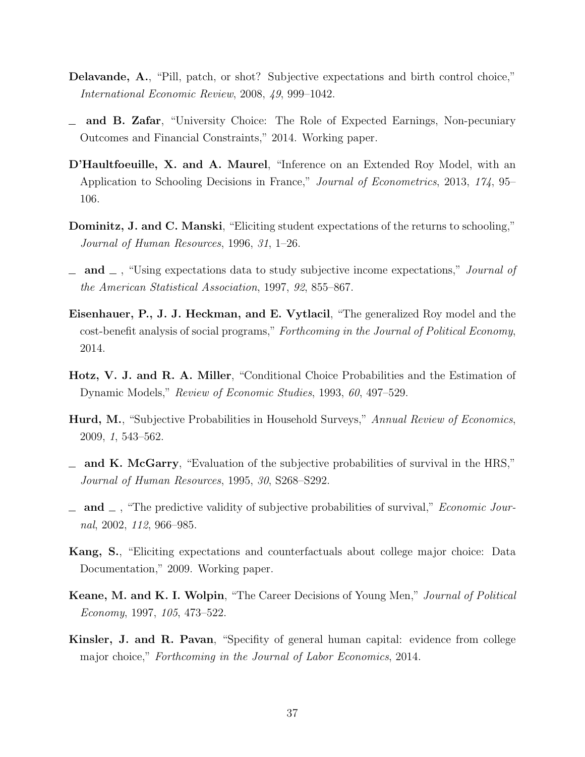- <span id="page-39-4"></span>Delavande, A., "Pill, patch, or shot? Subjective expectations and birth control choice," International Economic Review, 2008, 49, 999–1042.
- <span id="page-39-6"></span>and B. Zafar, "University Choice: The Role of Expected Earnings, Non-pecuniary  $\equiv$ Outcomes and Financial Constraints," 2014. Working paper.
- <span id="page-39-7"></span>D'Haultfoeuille, X. and A. Maurel, "Inference on an Extended Roy Model, with an Application to Schooling Decisions in France," Journal of Econometrics, 2013, 174, 95– 106.
- <span id="page-39-2"></span>Dominitz, J. and C. Manski, "Eliciting student expectations of the returns to schooling," Journal of Human Resources, 1996, 31, 1–26.
- <span id="page-39-3"></span> $\Box$  and  $\Box$ , "Using expectations data to study subjective income expectations," *Journal of* the American Statistical Association, 1997, 92, 855–867.
- <span id="page-39-8"></span>Eisenhauer, P., J. J. Heckman, and E. Vytlacil, "The generalized Roy model and the cost-benefit analysis of social programs," Forthcoming in the Journal of Political Economy, 2014.
- <span id="page-39-11"></span>Hotz, V. J. and R. A. Miller, "Conditional Choice Probabilities and the Estimation of Dynamic Models," Review of Economic Studies, 1993, 60, 497–529.
- <span id="page-39-5"></span>Hurd, M., "Subjective Probabilities in Household Surveys," Annual Review of Economics, 2009, 1, 543–562.
- <span id="page-39-0"></span> $\equiv$  and K. McGarry, "Evaluation of the subjective probabilities of survival in the HRS," Journal of Human Resources, 1995, 30, S268–S292.
- <span id="page-39-1"></span> $\Box$  and  $\Box$ , "The predictive validity of subjective probabilities of survival," *Economic Jour*nal, 2002, 112, 966–985.
- <span id="page-39-12"></span>Kang, S., "Eliciting expectations and counterfactuals about college major choice: Data Documentation," 2009. Working paper.
- <span id="page-39-10"></span>Keane, M. and K. I. Wolpin, "The Career Decisions of Young Men," Journal of Political Economy, 1997, 105, 473–522.
- <span id="page-39-9"></span>Kinsler, J. and R. Pavan, "Specifity of general human capital: evidence from college major choice," Forthcoming in the Journal of Labor Economics, 2014.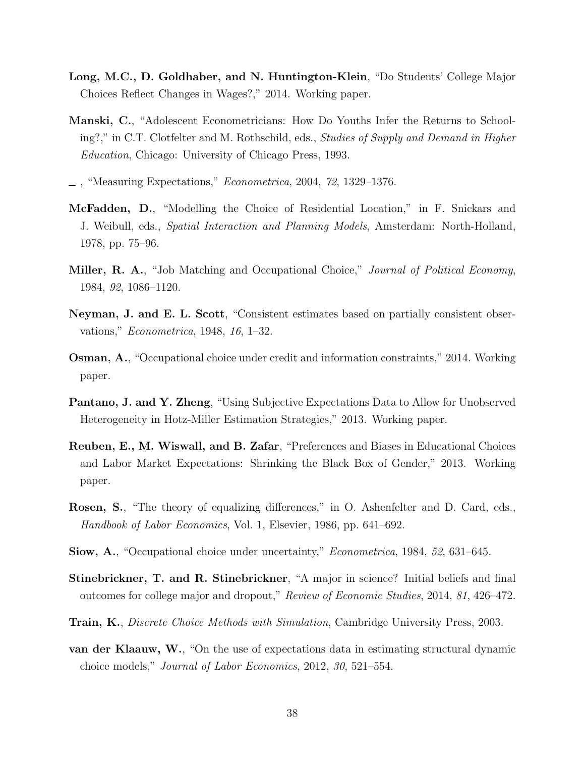- <span id="page-40-5"></span>Long, M.C., D. Goldhaber, and N. Huntington-Klein, "Do Students' College Major Choices Reflect Changes in Wages?," 2014. Working paper.
- <span id="page-40-0"></span>Manski, C., "Adolescent Econometricians: How Do Youths Infer the Returns to Schooling?," in C.T. Clotfelter and M. Rothschild, eds., Studies of Supply and Demand in Higher Education, Chicago: University of Chicago Press, 1993.
- <span id="page-40-1"></span> $\overline{\phantom{a}}$ , "Measuring Expectations," *Econometrica*, 2004, 72, 1329–1376.
- <span id="page-40-10"></span>McFadden, D., "Modelling the Choice of Residential Location," in F. Snickars and J. Weibull, eds., Spatial Interaction and Planning Models, Amsterdam: North-Holland, 1978, pp. 75–96.
- <span id="page-40-7"></span>**Miller, R. A.,** "Job Matching and Occupational Choice," *Journal of Political Economy*, 1984, 92, 1086–1120.
- <span id="page-40-11"></span>Neyman, J. and E. L. Scott, "Consistent estimates based on partially consistent observations," Econometrica, 1948, 16, 1–32.
- <span id="page-40-9"></span>Osman, A., "Occupational choice under credit and information constraints," 2014. Working paper.
- <span id="page-40-4"></span>Pantano, J. and Y. Zheng, "Using Subjective Expectations Data to Allow for Unobserved Heterogeneity in Hotz-Miller Estimation Strategies," 2013. Working paper.
- <span id="page-40-3"></span>Reuben, E., M. Wiswall, and B. Zafar, "Preferences and Biases in Educational Choices and Labor Market Expectations: Shrinking the Black Box of Gender," 2013. Working paper.
- <span id="page-40-13"></span>Rosen, S., "The theory of equalizing differences," in O. Ashenfelter and D. Card, eds., Handbook of Labor Economics, Vol. 1, Elsevier, 1986, pp. 641–692.
- <span id="page-40-8"></span>Siow, A., "Occupational choice under uncertainty," Econometrica, 1984, 52, 631–645.
- <span id="page-40-6"></span>Stinebrickner, T. and R. Stinebrickner, "A major in science? Initial beliefs and final outcomes for college major and dropout," Review of Economic Studies, 2014, 81, 426–472.
- <span id="page-40-12"></span>**Train, K.**, *Discrete Choice Methods with Simulation*, Cambridge University Press, 2003.
- <span id="page-40-2"></span>van der Klaauw, W., "On the use of expectations data in estimating structural dynamic choice models," Journal of Labor Economics, 2012, 30, 521–554.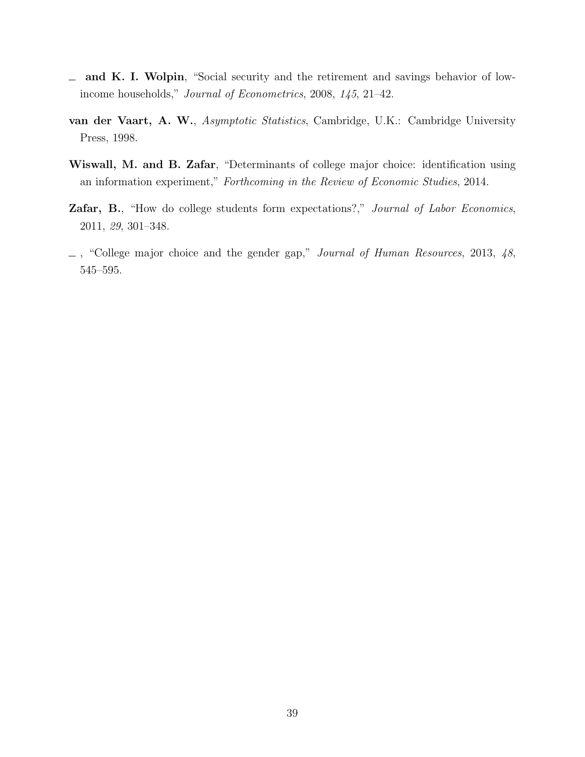- <span id="page-41-0"></span>and K. I. Wolpin, "Social security and the retirement and savings behavior of low- $\frac{1}{2}$ income households," Journal of Econometrics, 2008, 145, 21–42.
- <span id="page-41-4"></span>van der Vaart, A. W., Asymptotic Statistics, Cambridge, U.K.: Cambridge University Press, 1998.
- <span id="page-41-3"></span>Wiswall, M. and B. Zafar, "Determinants of college major choice: identification using an information experiment," Forthcoming in the Review of Economic Studies, 2014.
- <span id="page-41-1"></span>Zafar, B., "How do college students form expectations?," Journal of Labor Economics, 2011, 29, 301–348.
- <span id="page-41-2"></span> $\Box$ , "College major choice and the gender gap," Journal of Human Resources, 2013, 48, 545–595.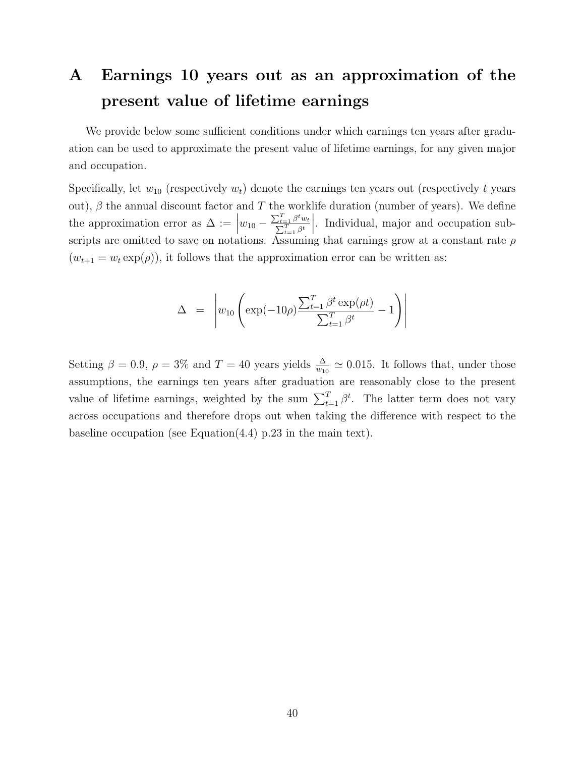## <span id="page-42-0"></span>A Earnings 10 years out as an approximation of the present value of lifetime earnings

We provide below some sufficient conditions under which earnings ten years after graduation can be used to approximate the present value of lifetime earnings, for any given major and occupation.

Specifically, let  $w_{10}$  (respectively  $w_t$ ) denote the earnings ten years out (respectively t years out),  $\beta$  the annual discount factor and T the worklife duration (number of years). We define the approximation error as  $\Delta :=$  $w_{10} - \frac{\sum_{t=1}^{T} \beta^t w_t}{\sum_{t=1}^{T} \beta^t w_t}$  $\sum_{t=1}^{T} \beta^t$   . Individual, major and occupation subscripts are omitted to save on notations. Assuming that earnings grow at a constant rate  $\rho$  $(w_{t+1} = w_t \exp(\rho))$ , it follows that the approximation error can be written as:

$$
\Delta = \left| w_{10} \left( \exp(-10\rho) \frac{\sum_{t=1}^{T} \beta^t \exp(\rho t)}{\sum_{t=1}^{T} \beta^t} - 1 \right) \right|
$$

Setting  $\beta = 0.9$ ,  $\rho = 3\%$  and  $T = 40$  years yields  $\frac{\Delta}{w_{10}} \simeq 0.015$ . It follows that, under those assumptions, the earnings ten years after graduation are reasonably close to the present value of lifetime earnings, weighted by the sum  $\sum_{t=1}^{T} \beta^t$ . The latter term does not vary across occupations and therefore drops out when taking the difference with respect to the baseline occupation (see Equation[\(4.4\)](#page-25-1) p[.23](#page-25-1) in the main text).